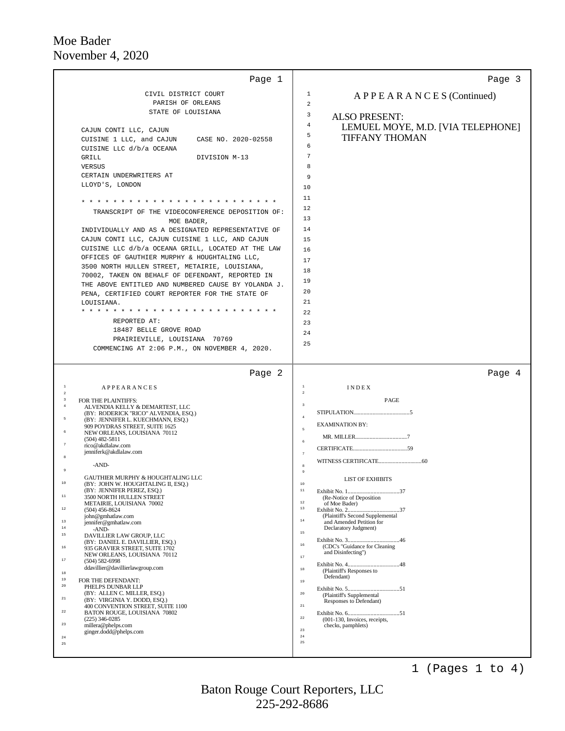| Page 1                                                                           | Page 3                                                                 |
|----------------------------------------------------------------------------------|------------------------------------------------------------------------|
| CIVIL DISTRICT COURT                                                             | 1<br>APPEARANCES (Continued)                                           |
| PARISH OF ORLEANS                                                                | 2                                                                      |
| STATE OF LOUISIANA                                                               | 3<br><b>ALSO PRESENT:</b>                                              |
|                                                                                  | 4<br>LEMUEL MOYE, M.D. [VIA TELEPHONE]                                 |
| CAJUN CONTI LLC, CAJUN<br>CUISINE 1 LLC, and CAJUN<br>CASE NO. 2020-02558        | 5<br><b>TIFFANY THOMAN</b>                                             |
| CUISINE LLC d/b/a OCEANA                                                         | 6                                                                      |
| GRILL<br>DIVISION M-13                                                           | $\overline{7}$                                                         |
| <b>VERSUS</b>                                                                    | 8                                                                      |
| CERTAIN UNDERWRITERS AT                                                          | 9                                                                      |
| LLOYD'S, LONDON                                                                  | 10                                                                     |
|                                                                                  | 11                                                                     |
|                                                                                  | 12                                                                     |
| TRANSCRIPT OF THE VIDEOCONFERENCE DEPOSITION OF:<br>MOE BADER,                   | 13                                                                     |
| INDIVIDUALLY AND AS A DESIGNATED REPRESENTATIVE OF                               | 14                                                                     |
| CAJUN CONTI LLC, CAJUN CUISINE 1 LLC, AND CAJUN                                  | 15                                                                     |
| CUISINE LLC d/b/a OCEANA GRILL, LOCATED AT THE LAW                               | 16                                                                     |
| OFFICES OF GAUTHIER MURPHY & HOUGHTALING LLC,                                    | 17                                                                     |
| 3500 NORTH HULLEN STREET, METAIRIE, LOUISIANA,                                   | 18                                                                     |
| 70002, TAKEN ON BEHALF OF DEFENDANT, REPORTED IN                                 | 19                                                                     |
| THE ABOVE ENTITLED AND NUMBERED CAUSE BY YOLANDA J.                              | 20                                                                     |
| PENA, CERTIFIED COURT REPORTER FOR THE STATE OF<br>LOUISIANA.                    | 21                                                                     |
| * * * * * * * * * * * * * *                                                      | 22                                                                     |
| REPORTED AT:                                                                     | 23                                                                     |
| 18487 BELLE GROVE ROAD                                                           | 24                                                                     |
| PRAIRIEVILLE, LOUISIANA 70769                                                    | 25                                                                     |
| COMMENCING AT 2:06 P.M., ON NOVEMBER 4, 2020.                                    |                                                                        |
| Page 2                                                                           | Page 4                                                                 |
| <sup>1</sup><br><b>APPEARANCES</b><br>$\sqrt{2}$                                 | <b>1</b><br>INDEX<br>$\,$ 2                                            |
| 3<br>FOR THE PLAINTIFFS:<br>$\overline{4}$                                       | PAGE<br>$\overline{\mathbf{3}}$                                        |
| ALVENDIA KELLY & DEMARTEST, LLC<br>(BY: RODERICK "RICO" ALVENDIA, ESQ.)          | $\frac{4}{3}$                                                          |
| 5<br>(BY: JENNIFER L. KUECHMANN, ESQ.)<br>909 POYDRAS STREET, SUITE 1625         | <b>EXAMINATION BY:</b>                                                 |
| NEW ORLEANS, LOUISIANA 70112                                                     | $\overline{5}$                                                         |
| $(504)$ 482-5811<br>rico@akdlalaw.com                                            | 6                                                                      |
| jenniferk@akdlalaw.com                                                           | $\tau$                                                                 |
| -AND-                                                                            | 8                                                                      |
| GAUTHIER MURPHY & HOUGHTALING LLC                                                | <b>LIST OF EXHIBITS</b>                                                |
| ±υ<br>(BY: JOHN W. HOUGHTALING II, ESQ.)<br>(BY: JENNIFER PEREZ, ESQ.)           | 10<br>$1\,1$                                                           |
| $11\,$<br>3500 NORTH HULLEN STREET                                               | (Re-Notice of Deposition                                               |
| METAIRIE, LOUISIANA 70002<br>$1\,2$<br>$(504)$ 456-8624                          | $1\,2$<br>of Moe Bader)<br>$1\,3$                                      |
| iohn@gmhatlaw.com<br>13<br>jennifer@gmhatlaw.com                                 | (Plaintiff's Second Supplemental<br>$1\,4$<br>and Amended Petition for |
| 14<br>$-AND-$                                                                    | Declaratory Judgment)<br>$15\,$                                        |
| $15$<br>DAVILLIER LAW GROUP, LLC<br>(BY: DANIEL E. DAVILLIER, ESQ.)              |                                                                        |
| 16<br>935 GRAVIER STREET, SUITE 1702                                             | $1\,6$<br>(CDC's "Guidance for Cleaning<br>and Disinfecting")          |
| NEW ORLEANS, LOUISIANA 70112<br>$17\,$<br>$(504) 582 - 6998$                     | $1\,7$                                                                 |
| ddavillier@davillierlawgroup.com<br>$1\,8$                                       | $1\,8$<br>(Plaintiff's Responses to                                    |
| 19<br>FOR THE DEFENDANT:                                                         | Defendant)<br>$19$                                                     |
| 20<br>PHELPS DUNBAR LLP<br>(BY: ALLEN C. MILLER, ESQ.)                           | $20\,$                                                                 |
| 21<br>(BY: VIRGINIA Y. DODD, ESQ.)                                               | (Plaintiff's Supplemental<br>Responses to Defendant)                   |
| 400 CONVENTION STREET, SUITE 1100<br>$2\sqrt{2}$<br>BATON ROUGE, LOUISIANA 70802 | $2\sqrt{1}$                                                            |
| $(225)$ 346-0285<br>23<br>millera@phelps.com                                     | $2\sqrt{2}$<br>(001-130, Invoices, receipts,<br>checks, pamphlets)     |
| ginger.dodd@phelps.com<br>24                                                     | 23<br>$2\,4$                                                           |
| $25\,$                                                                           | 25                                                                     |
|                                                                                  |                                                                        |

1 (Pages 1 to 4)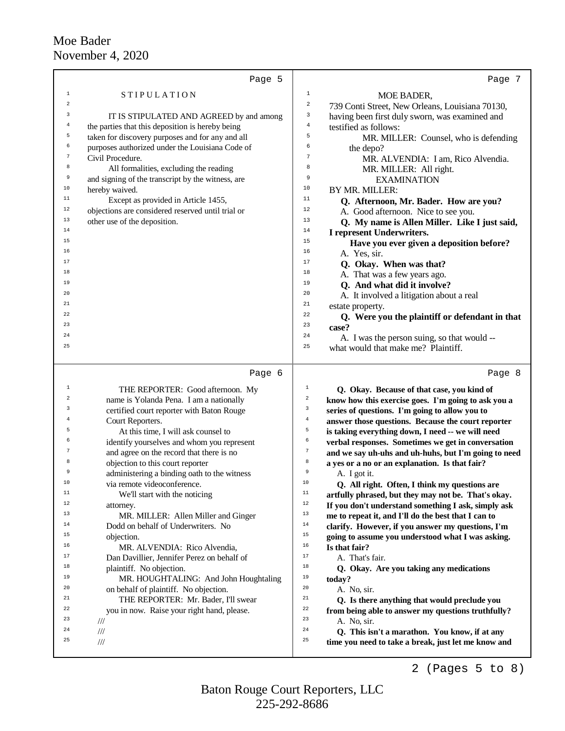|                | Page 5                                                                     |                         | Page 7                                                  |
|----------------|----------------------------------------------------------------------------|-------------------------|---------------------------------------------------------|
| $1\,$          | <b>STIPULATION</b>                                                         | $\mathbf{1}$            | MOE BADER,                                              |
| 2              |                                                                            | $\overline{\mathbf{c}}$ | 739 Conti Street, New Orleans, Louisiana 70130,         |
| 3              | IT IS STIPULATED AND AGREED by and among                                   | 3                       | having been first duly sworn, was examined and          |
| $\overline{4}$ | the parties that this deposition is hereby being                           | $\overline{4}$          | testified as follows:                                   |
| 5              | taken for discovery purposes and for any and all                           | 5                       | MR. MILLER: Counsel, who is defending                   |
| 6              | purposes authorized under the Louisiana Code of                            | 6                       | the depo?                                               |
| $\sqrt{7}$     | Civil Procedure.                                                           | $\overline{7}$          | MR. ALVENDIA: I am, Rico Alvendia.                      |
| 8              | All formalities, excluding the reading                                     | 8                       | MR. MILLER: All right.                                  |
| 9              | and signing of the transcript by the witness, are                          | 9                       | <b>EXAMINATION</b>                                      |
| 10             | hereby waived.                                                             | 10                      | BY MR. MILLER:                                          |
| $11$           | Except as provided in Article 1455,                                        | 11                      | Q. Afternoon, Mr. Bader. How are you?                   |
| 12             | objections are considered reserved until trial or                          | 12                      | A. Good afternoon. Nice to see you.                     |
| 13             | other use of the deposition.                                               | 13                      | Q. My name is Allen Miller. Like I just said,           |
| 14             |                                                                            | 14                      | I represent Underwriters.                               |
| 15<br>16       |                                                                            | 15                      | Have you ever given a deposition before?                |
| 17             |                                                                            | 16<br>17                | A. Yes, sir.                                            |
| 18             |                                                                            | 18                      | Q. Okay. When was that?                                 |
| 19             |                                                                            | 19                      | A. That was a few years ago.                            |
| 20             |                                                                            | 20                      | Q. And what did it involve?                             |
| 21             |                                                                            | 21                      | A. It involved a litigation about a real                |
| 22             |                                                                            | 22                      | estate property.                                        |
| 23             |                                                                            | 23                      | Q. Were you the plaintiff or defendant in that<br>case? |
| 24             |                                                                            | 24                      | A. I was the person suing, so that would --             |
| 25             |                                                                            | 25                      | what would that make me? Plaintiff.                     |
|                |                                                                            |                         |                                                         |
|                | Page 6                                                                     |                         | Page 8                                                  |
| $1\,$          | THE REPORTER: Good afternoon. My                                           | $\mathbf{1}$            | Q. Okay. Because of that case, you kind of              |
| 2              | name is Yolanda Pena. I am a nationally                                    | $\overline{\mathbf{c}}$ | know how this exercise goes. I'm going to ask you a     |
| 3              | certified court reporter with Baton Rouge                                  | 3                       | series of questions. I'm going to allow you to          |
| 4              | Court Reporters.                                                           | $\,4$                   | answer those questions. Because the court reporter      |
| 5              | At this time, I will ask counsel to                                        | 5                       | is taking everything down, I need -- we will need       |
| 6              | identify yourselves and whom you represent                                 | 6                       | verbal responses. Sometimes we get in conversation      |
| 7              | and agree on the record that there is no                                   | $\sqrt{ }$              | and we say uh-uhs and uh-huhs, but I'm going to need    |
| 8              | objection to this court reporter                                           | 8                       | a yes or a no or an explanation. Is that fair?          |
| 9              | administering a binding oath to the witness                                | 9                       | A. I got it.                                            |
| Τn             | via remote videoconference.                                                | Τn                      | Q. All right. Often, I think my questions are           |
| $11$           | We'll start with the noticing                                              | $11\,$                  | artfully phrased, but they may not be. That's okay.     |
| 12<br>13       | attorney.                                                                  | $1\,2$<br>13            | If you don't understand something I ask, simply ask     |
| 14             | MR. MILLER: Allen Miller and Ginger                                        | 14                      | me to repeat it, and I'll do the best that I can to     |
| 15             | Dodd on behalf of Underwriters. No                                         | 15                      | clarify. However, if you answer my questions, I'm       |
| 16             | objection.                                                                 | 16                      | going to assume you understood what I was asking.       |
| 17             | MR. ALVENDIA: Rico Alvendia,<br>Dan Davillier, Jennifer Perez on behalf of | 17                      | Is that fair?<br>A. That's fair.                        |
| 18             | plaintiff. No objection.                                                   | 18                      | Q. Okay. Are you taking any medications                 |
| 19             | MR. HOUGHTALING: And John Houghtaling                                      | 19                      | today?                                                  |
| 20             | on behalf of plaintiff. No objection.                                      | 20                      | A. No, sir.                                             |
| 21             | THE REPORTER: Mr. Bader, I'll swear                                        | 21                      | Q. Is there anything that would preclude you            |
| 22             | you in now. Raise your right hand, please.                                 | 22                      | from being able to answer my questions truthfully?      |
| 23             | ///                                                                        | 23                      | A. No, sir.                                             |
| 24             | $/\!/ \!/$                                                                 | 24                      | Q. This isn't a marathon. You know, if at any           |
| 25             | $/\!/ \!/$                                                                 | 25                      | time you need to take a break, just let me know and     |
|                |                                                                            |                         | 2 (Pages $5$ to $8$ )                                   |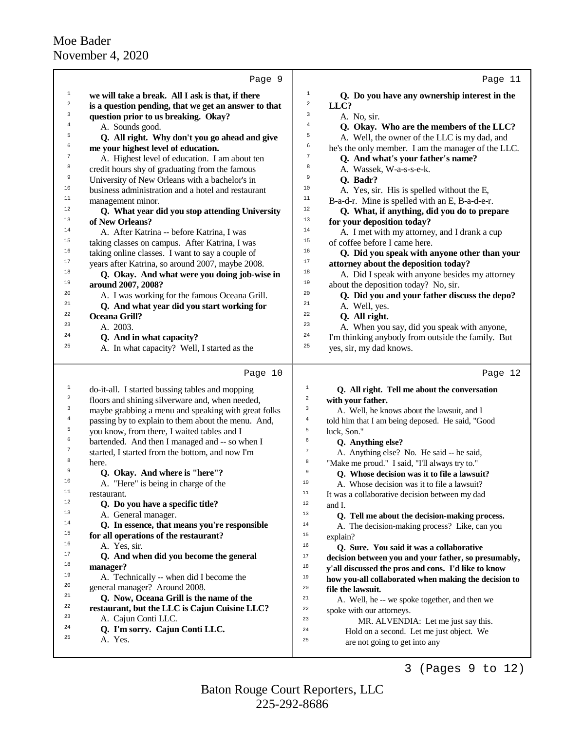|              | Page 9                                               | Page 11                                                                               |
|--------------|------------------------------------------------------|---------------------------------------------------------------------------------------|
| $\mathbf{1}$ | we will take a break. All I ask is that, if there    | $\,1$<br>Q. Do you have any ownership interest in the                                 |
| 2            | is a question pending, that we get an answer to that | 2<br>LLC?                                                                             |
| 3            | question prior to us breaking. Okay?                 | 3<br>A. No, sir.                                                                      |
| 4            | A. Sounds good.                                      | $\bf{4}$<br>Q. Okay. Who are the members of the LLC?                                  |
| 5            | Q. All right. Why don't you go ahead and give        | 5<br>A. Well, the owner of the LLC is my dad, and                                     |
| 6            | me your highest level of education.                  | 6<br>he's the only member. I am the manager of the LLC.                               |
| 7            | A. Highest level of education. I am about ten        | $\boldsymbol{7}$<br>Q. And what's your father's name?                                 |
| 8            | credit hours shy of graduating from the famous       | 8<br>A. Wassek, W-a-s-s-e-k.                                                          |
| 9            | University of New Orleans with a bachelor's in       | 9<br>Q. Badr?                                                                         |
| 10           | business administration and a hotel and restaurant   | 10<br>A. Yes, sir. His is spelled without the E,                                      |
| $11\,$       | management minor.                                    | 11<br>B-a-d-r. Mine is spelled with an E, B-a-d-e-r.                                  |
| 12           | Q. What year did you stop attending University       | 12<br>Q. What, if anything, did you do to prepare                                     |
| 13           | of New Orleans?                                      | 13<br>for your deposition today?                                                      |
| 14           | A. After Katrina -- before Katrina, I was            | 14<br>A. I met with my attorney, and I drank a cup                                    |
| 15           | taking classes on campus. After Katrina, I was       | 15<br>of coffee before I came here.                                                   |
| 16           | taking online classes. I want to say a couple of     | 16<br>Q. Did you speak with anyone other than your                                    |
| 17           | years after Katrina, so around 2007, maybe 2008.     | 17<br>attorney about the deposition today?                                            |
| 18           | Q. Okay. And what were you doing job-wise in         | 18<br>A. Did I speak with anyone besides my attorney                                  |
| 19           | around 2007, 2008?                                   | 19<br>about the deposition today? No, sir.                                            |
| 20           | A. I was working for the famous Oceana Grill.        | 20<br>Q. Did you and your father discuss the depo?                                    |
| 21           | Q. And what year did you start working for           | 21<br>A. Well, yes.                                                                   |
| 22           | <b>Oceana Grill?</b>                                 | 22<br>Q. All right.                                                                   |
| 23           | A. 2003.                                             | 23<br>A. When you say, did you speak with anyone,                                     |
| 24           | Q. And in what capacity?                             | 24<br>I'm thinking anybody from outside the family. But                               |
| 25           | A. In what capacity? Well, I started as the          | 25<br>yes, sir, my dad knows.                                                         |
|              | Page 10                                              | Page 12                                                                               |
| 1            |                                                      | 1                                                                                     |
| 2            | do-it-all. I started bussing tables and mopping      | Q. All right. Tell me about the conversation<br>$\overline{a}$                        |
| 3            | floors and shining silverware and, when needed,      | with your father.<br>3                                                                |
| 4            | maybe grabbing a menu and speaking with great folks  | A. Well, he knows about the lawsuit, and I<br>$\bf{4}$                                |
| 5            | passing by to explain to them about the menu. And,   | told him that I am being deposed. He said, "Good<br>5                                 |
| 6            | you know, from there, I waited tables and I          | luck, Son."<br>6                                                                      |
| 7            | bartended. And then I managed and -- so when I       | Q. Anything else?<br>$\boldsymbol{7}$                                                 |
| 8            | started, I started from the bottom, and now I'm      | A. Anything else? No. He said -- he said,<br>8                                        |
| 9            | here.<br>Q. Okay. And where is "here"?               | "Make me proud." I said, "I'll always try to."<br>9                                   |
| 10           | A. "Here" is being in charge of the                  | Q. Whose decision was it to file a lawsuit?<br>10                                     |
| 11           | restaurant.                                          | A. Whose decision was it to file a lawsuit?<br>$11$                                   |
| 12           | Q. Do you have a specific title?                     | It was a collaborative decision between my dad<br>12                                  |
| 13           | A. General manager.                                  | and I.<br>13                                                                          |
| 14           | Q. In essence, that means you're responsible         | Q. Tell me about the decision-making process.<br>14                                   |
| 15           | for all operations of the restaurant?                | A. The decision-making process? Like, can you<br>15                                   |
| 16           | A. Yes, sir.                                         | explain?<br>16                                                                        |
| 17           | Q. And when did you become the general               | Q. Sure. You said it was a collaborative<br>17                                        |
| 18           | manager?                                             | decision between you and your father, so presumably,<br>$1\,8$                        |
| 19           | A. Technically -- when did I become the              | y'all discussed the pros and cons. I'd like to know<br>19                             |
| 20           | general manager? Around 2008.                        | how you-all collaborated when making the decision to<br>20                            |
| 21           | Q. Now, Oceana Grill is the name of the              | file the lawsuit.<br>21                                                               |
| 22           | restaurant, but the LLC is Cajun Cuisine LLC?        | A. Well, he -- we spoke together, and then we<br>22                                   |
| 23           |                                                      | spoke with our attorneys.                                                             |
|              |                                                      |                                                                                       |
| 24           | A. Cajun Conti LLC.                                  | 23<br>MR. ALVENDIA: Let me just say this.                                             |
| 25           | Q. I'm sorry. Cajun Conti LLC.<br>A. Yes.            | 24<br>Hold on a second. Let me just object. We<br>25<br>are not going to get into any |

3 (Pages 9 to 12)

are not going to get into any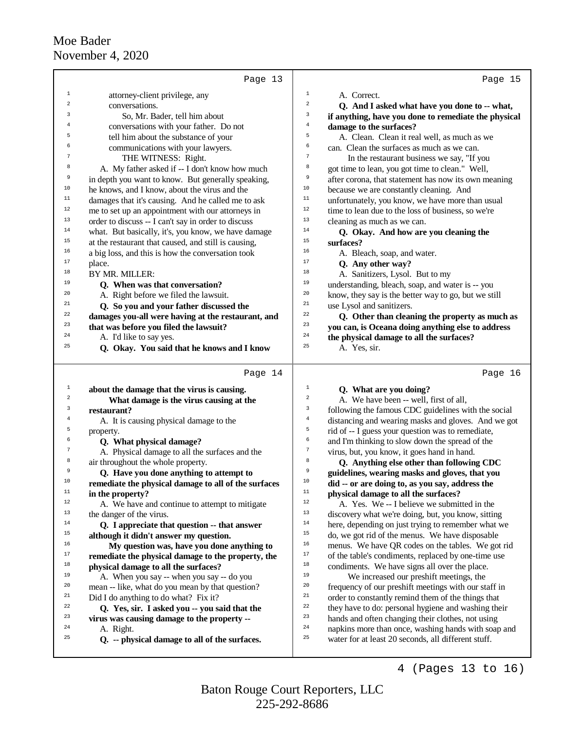|                | Page 13                                                    | Page 15                                                                                                          |
|----------------|------------------------------------------------------------|------------------------------------------------------------------------------------------------------------------|
| $\mathbf{1}$   | attorney-client privilege, any                             | $\mathbf 1$<br>A. Correct.                                                                                       |
| $\overline{a}$ | conversations.                                             | $\,2$<br>Q. And I asked what have you done to -- what,                                                           |
| 3              | So, Mr. Bader, tell him about                              | 3<br>if anything, have you done to remediate the physical                                                        |
| $\overline{4}$ | conversations with your father. Do not                     | $\bf{4}$<br>damage to the surfaces?                                                                              |
| 5              | tell him about the substance of your                       | 5<br>A. Clean. Clean it real well, as much as we                                                                 |
|                | communications with your lawyers.                          | 6<br>can. Clean the surfaces as much as we can.                                                                  |
|                | THE WITNESS: Right.                                        | $\tau$<br>In the restaurant business we say, "If you                                                             |
| 8              | A. My father asked if -- I don't know how much             | 8<br>got time to lean, you got time to clean." Well,                                                             |
| 9              | in depth you want to know. But generally speaking,         | 9<br>after corona, that statement has now its own meaning                                                        |
| 10             | he knows, and I know, about the virus and the              | $10$<br>because we are constantly cleaning. And                                                                  |
| 11             | damages that it's causing. And he called me to ask         | 11<br>unfortunately, you know, we have more than usual                                                           |
| $12\,$         | me to set up an appointment with our attorneys in          | 12<br>time to lean due to the loss of business, so we're                                                         |
| $13\,$         | order to discuss -- I can't say in order to discuss        | 13<br>cleaning as much as we can.                                                                                |
| 14             | what. But basically, it's, you know, we have damage        | 14<br>Q. Okay. And how are you cleaning the                                                                      |
| $15\,$         | at the restaurant that caused, and still is causing,       | $15\,$<br>surfaces?                                                                                              |
| 16             | a big loss, and this is how the conversation took          | 16<br>A. Bleach, soap, and water.                                                                                |
| $17\,$         | place.                                                     | 17<br>Q. Any other way?                                                                                          |
| $18\,$         | BY MR. MILLER:                                             | 18<br>A. Sanitizers, Lysol. But to my                                                                            |
| 19             | Q. When was that conversation?                             | 19<br>understanding, bleach, soap, and water is -- you                                                           |
| 20             | A. Right before we filed the lawsuit.                      | 20<br>know, they say is the better way to go, but we still                                                       |
| 21             | Q. So you and your father discussed the                    | 21<br>use Lysol and sanitizers.                                                                                  |
| 22             | damages you-all were having at the restaurant, and         | 22<br>Q. Other than cleaning the property as much as                                                             |
| 23             | that was before you filed the lawsuit?                     | 23<br>you can, is Oceana doing anything else to address                                                          |
| 24             | A. I'd like to say yes.                                    | 24<br>the physical damage to all the surfaces?                                                                   |
| 25             | Q. Okay. You said that he knows and I know                 | 25<br>A. Yes, sir.                                                                                               |
|                |                                                            |                                                                                                                  |
|                |                                                            |                                                                                                                  |
|                | Page 14                                                    | Page 16                                                                                                          |
| 1              | about the damage that the virus is causing.                | 1<br>Q. What are you doing?                                                                                      |
| 2              | What damage is the virus causing at the                    | $\overline{\mathbf{c}}$<br>A. We have been -- well, first of all,                                                |
| 3              | restaurant?                                                | 3<br>following the famous CDC guidelines with the social                                                         |
| $\overline{4}$ | A. It is causing physical damage to the                    | $\bf{4}$<br>distancing and wearing masks and gloves. And we got                                                  |
| 5              | property.                                                  | 5<br>rid of -- I guess your question was to remediate,                                                           |
| 6              | Q. What physical damage?                                   | б<br>and I'm thinking to slow down the spread of the                                                             |
|                | A. Physical damage to all the surfaces and the             | $\tau$<br>virus, but, you know, it goes hand in hand.                                                            |
| 8              | air throughout the whole property.                         | 8<br>Q. Anything else other than following CDC                                                                   |
| 9              | Q. Have you done anything to attempt to                    | 9<br>guidelines, wearing masks and gloves, that you                                                              |
| 10             | remediate the physical damage to all of the surfaces       | $10$<br>did -- or are doing to, as you say, address the                                                          |
| $11\,$         | in the property?                                           | 11<br>physical damage to all the surfaces?                                                                       |
| 12             | A. We have and continue to attempt to mitigate             | 12<br>A. Yes. We -- I believe we submitted in the                                                                |
| 13             | the danger of the virus.                                   | 13<br>discovery what we're doing, but, you know, sitting                                                         |
| 14             | Q. I appreciate that question -- that answer               | 14<br>here, depending on just trying to remember what we                                                         |
| 15             | although it didn't answer my question.                     | 15<br>do, we got rid of the menus. We have disposable                                                            |
| 16             | My question was, have you done anything to                 | 16<br>menus. We have QR codes on the tables. We got rid                                                          |
| 17<br>18       | remediate the physical damage to the property, the         | $17\,$<br>of the table's condiments, replaced by one-time use<br>$18\,$                                          |
| 19             | physical damage to all the surfaces?                       | condiments. We have signs all over the place.<br>19                                                              |
| 20             | A. When you say -- when you say -- do you                  | We increased our preshift meetings, the<br>20                                                                    |
| 21             | mean -- like, what do you mean by that question?           | frequency of our preshift meetings with our staff in<br>21                                                       |
| 22             | Did I do anything to do what? Fix it?                      | order to constantly remind them of the things that<br>$^{\rm 22}$                                                |
| 23             | Q. Yes, sir. I asked you -- you said that the              | they have to do: personal hygiene and washing their<br>23                                                        |
| 24             | virus was causing damage to the property --                | hands and often changing their clothes, not using<br>$\bf 24$                                                    |
| 25             | A. Right.<br>Q. -- physical damage to all of the surfaces. | napkins more than once, washing hands with soap and<br>25<br>water for at least 20 seconds, all different stuff. |

4 (Pages 13 to 16)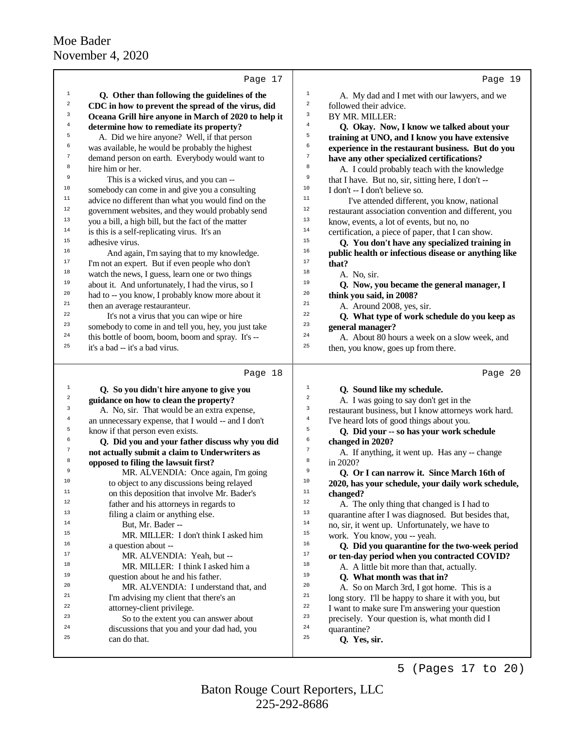|                              | Page 17                                                                                             |                                                                                                         | Page 19 |
|------------------------------|-----------------------------------------------------------------------------------------------------|---------------------------------------------------------------------------------------------------------|---------|
| $\mathbf{1}$                 |                                                                                                     | $1\,$                                                                                                   |         |
| $\boldsymbol{2}$             | Q. Other than following the guidelines of the<br>CDC in how to prevent the spread of the virus, did | A. My dad and I met with our lawyers, and we<br>$\sqrt{2}$<br>followed their advice.                    |         |
| 3                            | Oceana Grill hire anyone in March of 2020 to help it                                                | 3<br>BY MR. MILLER:                                                                                     |         |
| $\overline{4}$               | determine how to remediate its property?                                                            | $\bf{4}$<br>Q. Okay. Now, I know we talked about your                                                   |         |
| 5                            | A. Did we hire anyone? Well, if that person                                                         | 5<br>training at UNO, and I know you have extensive                                                     |         |
| 6                            | was available, he would be probably the highest                                                     | 6<br>experience in the restaurant business. But do you                                                  |         |
| 7                            | demand person on earth. Everybody would want to                                                     | $\boldsymbol{7}$<br>have any other specialized certifications?                                          |         |
| 8                            | hire him or her.                                                                                    | 8<br>A. I could probably teach with the knowledge                                                       |         |
| 9                            | This is a wicked virus, and you can --                                                              | 9<br>that I have. But no, sir, sitting here, I don't --                                                 |         |
| 10                           | somebody can come in and give you a consulting                                                      | 10<br>I don't -- I don't believe so.                                                                    |         |
| 11                           | advice no different than what you would find on the                                                 | 11<br>I've attended different, you know, national                                                       |         |
| 12                           | government websites, and they would probably send                                                   | 12<br>restaurant association convention and different, you                                              |         |
| 13                           | you a bill, a high bill, but the fact of the matter                                                 | 13<br>know, events, a lot of events, but no, no                                                         |         |
| 14                           | is this is a self-replicating virus. It's an                                                        | 14<br>certification, a piece of paper, that I can show.                                                 |         |
| 15                           | adhesive virus.                                                                                     | 15<br>Q. You don't have any specialized training in                                                     |         |
| 16                           | And again, I'm saying that to my knowledge.                                                         | 16<br>public health or infectious disease or anything like                                              |         |
| $17\,$                       | I'm not an expert. But if even people who don't                                                     | 17<br>that?                                                                                             |         |
| 18                           | watch the news, I guess, learn one or two things                                                    | 18<br>A. No, sir.                                                                                       |         |
| 19                           | about it. And unfortunately, I had the virus, so I                                                  | 19<br>Q. Now, you became the general manager, I                                                         |         |
| 20                           | had to -- you know, I probably know more about it                                                   | 20<br>think you said, in 2008?                                                                          |         |
| 21                           | then an average restauranteur.                                                                      | 21<br>A. Around 2008, yes, sir.                                                                         |         |
| 22                           | It's not a virus that you can wipe or hire                                                          | 22<br>Q. What type of work schedule do you keep as                                                      |         |
| 23                           | somebody to come in and tell you, hey, you just take                                                | 23<br>general manager?                                                                                  |         |
| 24                           | this bottle of boom, boom, boom and spray. It's --                                                  | 24<br>A. About 80 hours a week on a slow week, and                                                      |         |
| 25                           | it's a bad -- it's a bad virus.                                                                     | 25<br>then, you know, goes up from there.                                                               |         |
|                              |                                                                                                     |                                                                                                         |         |
|                              |                                                                                                     |                                                                                                         |         |
|                              | Page 18                                                                                             |                                                                                                         | Page 20 |
| $\mathbf{1}$                 | Q. So you didn't hire anyone to give you                                                            | $\mathbf{1}$<br>Q. Sound like my schedule.                                                              |         |
| $\overline{\mathbf{c}}$<br>3 | guidance on how to clean the property?                                                              | $\overline{\mathbf{c}}$<br>A. I was going to say don't get in the<br>3                                  |         |
| $\overline{4}$               | A. No, sir. That would be an extra expense,                                                         | restaurant business, but I know attorneys work hard.<br>4                                               |         |
| 5                            | an unnecessary expense, that I would -- and I don't                                                 | I've heard lots of good things about you.<br>5                                                          |         |
| б                            | know if that person even exists.                                                                    | Q. Did your -- so has your work schedule<br>6                                                           |         |
| $\boldsymbol{7}$             | Q. Did you and your father discuss why you did                                                      | changed in 2020?<br>7                                                                                   |         |
| 8                            | not actually submit a claim to Underwriters as                                                      | A. If anything, it went up. Has any -- change<br>8                                                      |         |
| 9                            | opposed to filing the lawsuit first?                                                                | in 2020?<br>9                                                                                           |         |
| 10                           | MR. ALVENDIA: Once again, I'm going                                                                 | Q. Or I can narrow it. Since March 16th of<br>10                                                        |         |
| 11                           | to object to any discussions being relayed<br>on this deposition that involve Mr. Bader's           | 2020, has your schedule, your daily work schedule,<br>11                                                |         |
| 12                           | father and his attorneys in regards to                                                              | changed?<br>12                                                                                          |         |
| 13                           | filing a claim or anything else.                                                                    | A. The only thing that changed is I had to<br>13<br>quarantine after I was diagnosed. But besides that, |         |
| 14                           | But, Mr. Bader --                                                                                   | $14\,$<br>no, sir, it went up. Unfortunately, we have to                                                |         |
| 15                           | MR. MILLER: I don't think I asked him                                                               | $15\,$<br>work. You know, you -- yeah.                                                                  |         |
| 16                           | a question about --                                                                                 | 16<br>Q. Did you quarantine for the two-week period                                                     |         |
| 17                           | MR. ALVENDIA: Yeah, but --                                                                          | $17\,$<br>or ten-day period when you contracted COVID?                                                  |         |
| 18                           | MR. MILLER: I think I asked him a                                                                   | 18<br>A. A little bit more than that, actually.                                                         |         |
| 19                           | question about he and his father.                                                                   | 19<br>Q. What month was that in?                                                                        |         |
| 20                           | MR. ALVENDIA: I understand that, and                                                                | 20<br>A. So on March 3rd, I got home. This is a                                                         |         |
| 21                           | I'm advising my client that there's an                                                              | 21<br>long story. I'll be happy to share it with you, but                                               |         |
| 22                           | attorney-client privilege.                                                                          | 22<br>I want to make sure I'm answering your question                                                   |         |
| 23                           | So to the extent you can answer about                                                               | 23<br>precisely. Your question is, what month did I                                                     |         |
| 24                           | discussions that you and your dad had, you                                                          | 24<br>quarantine?                                                                                       |         |
| 25                           | can do that.                                                                                        | 25<br>Q. Yes, sir.                                                                                      |         |

225-292-8686 Baton Rouge Court Reporters, LLC 5 (Pages 17 to 20)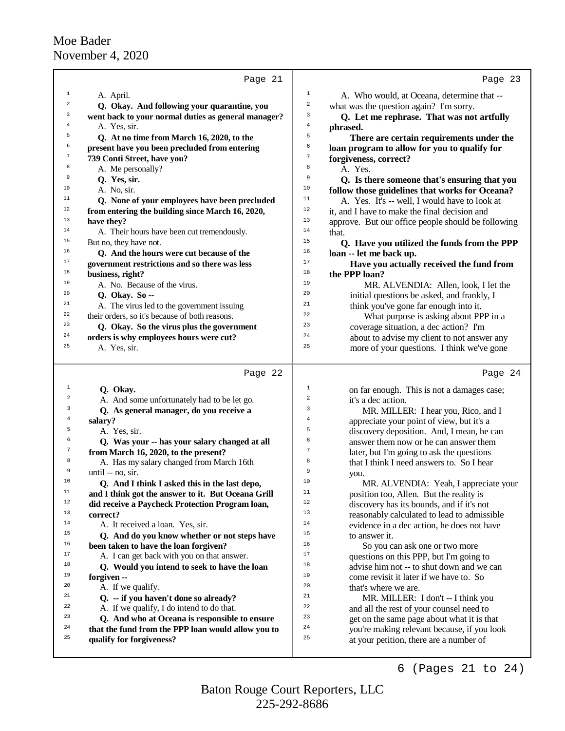|                | Page 21                                                 |                | Page 23                                                                   |
|----------------|---------------------------------------------------------|----------------|---------------------------------------------------------------------------|
| $\mathbf{1}$   | A. April.                                               | $1\,$          | A. Who would, at Oceana, determine that --                                |
| 2              | Q. Okay. And following your quarantine, you             | 2              | what was the question again? I'm sorry.                                   |
| 3              | went back to your normal duties as general manager?     | 3              | Q. Let me rephrase. That was not artfully                                 |
| $\overline{4}$ | A. Yes, sir.                                            | $\bf{4}$       | phrased.                                                                  |
| 5              | Q. At no time from March 16, 2020, to the               | 5              | There are certain requirements under the                                  |
| б              | present have you been precluded from entering           | 6              | loan program to allow for you to qualify for                              |
| 7              | 739 Conti Street, have you?                             | 7              | forgiveness, correct?                                                     |
| 8              | A. Me personally?                                       | 8              | A. Yes.                                                                   |
| 9              | Q. Yes, sir.                                            | 9              | Q. Is there someone that's ensuring that you                              |
| 10             | A. No, sir.                                             | 10             | follow those guidelines that works for Oceana?                            |
| 11             | Q. None of your employees have been precluded           | 11             | A. Yes. It's -- well, I would have to look at                             |
| 12             | from entering the building since March 16, 2020,        | 12             | it, and I have to make the final decision and                             |
| 13             | have they?                                              | 13             | approve. But our office people should be following                        |
| 14             | A. Their hours have been cut tremendously.              | 14             | that.                                                                     |
| 15             | But no, they have not.                                  | 15             | Q. Have you utilized the funds from the PPP                               |
| 16             | Q. And the hours were cut because of the                | 16             | loan -- let me back up.                                                   |
| 17             | government restrictions and so there was less           | 17             | Have you actually received the fund from                                  |
| 18             | business, right?                                        | 18             | the PPP loan?                                                             |
| 19             | A. No. Because of the virus.                            | 19             | MR. ALVENDIA: Allen, look, I let the                                      |
| 20             | Q. Okay. So --                                          | 20             | initial questions be asked, and frankly, I                                |
| 21             | A. The virus led to the government issuing              | 21             | think you've gone far enough into it.                                     |
| 22             | their orders, so it's because of both reasons.          | 22             | What purpose is asking about PPP in a                                     |
| 23             | Q. Okay. So the virus plus the government               | 23             | coverage situation, a dec action? I'm                                     |
| 24             | orders is why employees hours were cut?                 | 24             | about to advise my client to not answer any                               |
| 25             | A. Yes, sir.                                            | 25             | more of your questions. I think we've gone                                |
|                | Page 22                                                 |                | Page 24                                                                   |
| $\mathbf{1}$   |                                                         | $1\,$          |                                                                           |
| $\overline{2}$ | Q. Okay.<br>A. And some unfortunately had to be let go. | 2              | on far enough. This is not a damages case;<br>it's a dec action.          |
| 3              | Q. As general manager, do you receive a                 | 3              | MR. MILLER: I hear you, Rico, and I                                       |
| 4              | salary?                                                 | 4              | appreciate your point of view, but it's a                                 |
| 5              | A. Yes, sir.                                            | 5              | discovery deposition. And, I mean, he can                                 |
| б              | Q. Was your -- has your salary changed at all           | 6              | answer them now or he can answer them                                     |
| 7              | from March 16, 2020, to the present?                    | $\overline{7}$ | later, but I'm going to ask the questions                                 |
| 8              | A. Has my salary changed from March 16th                | 8              | that I think I need answers to. So I hear                                 |
| 9              | until -- no, sir.                                       | 9              | you.                                                                      |
| 10             | Q. And I think I asked this in the last depo,           | 10             | MR. ALVENDIA: Yeah, I appreciate your                                     |
| $11\,$         | and I think got the answer to it. But Oceana Grill      | 11             | position too, Allen. But the reality is                                   |
| 12             | did receive a Paycheck Protection Program loan,         | 12             | discovery has its bounds, and if it's not                                 |
| 13             | correct?                                                | 13             | reasonably calculated to lead to admissible                               |
| 14             |                                                         |                |                                                                           |
|                | A. It received a loan. Yes, sir.                        | 14             |                                                                           |
| 15             | Q. And do you know whether or not steps have            | 15             | evidence in a dec action, he does not have<br>to answer it.               |
| 16             | been taken to have the loan forgiven?                   | 16             |                                                                           |
| 17             | A. I can get back with you on that answer.              | 17             | So you can ask one or two more<br>questions on this PPP, but I'm going to |
| 18             | Q. Would you intend to seek to have the loan            | 18             | advise him not -- to shut down and we can                                 |
| 19             | forgiven --                                             | 19             | come revisit it later if we have to. So                                   |
| 20             | A. If we qualify.                                       | 20             | that's where we are.                                                      |
| 21             | Q. -- if you haven't done so already?                   | 21             | MR. MILLER: I don't -- I think you                                        |
| 22             | A. If we qualify, I do intend to do that.               | 22             | and all the rest of your counsel need to                                  |
| 23             | Q. And who at Oceana is responsible to ensure           | 23             | get on the same page about what it is that                                |
| 24             | that the fund from the PPP loan would allow you to      | 24             | you're making relevant because, if you look                               |
| 25             | qualify for forgiveness?                                | 25             | at your petition, there are a number of                                   |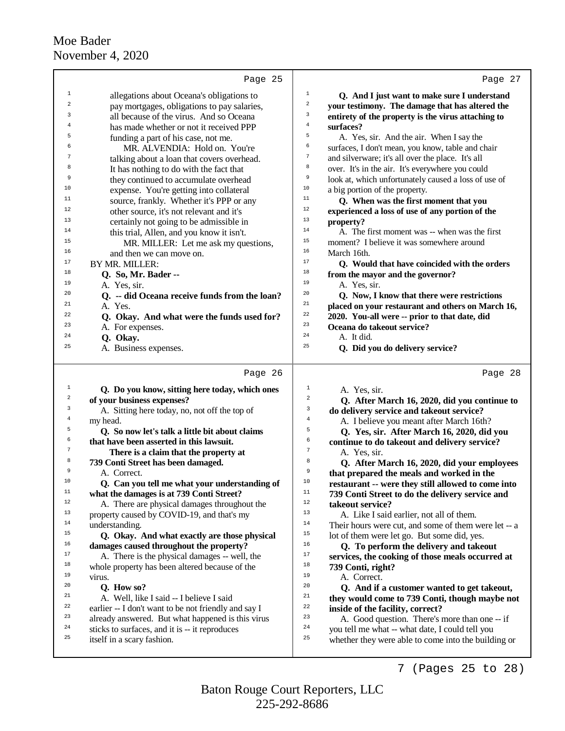|              | Page 25                                                                                         | Page 27                                                                       |  |
|--------------|-------------------------------------------------------------------------------------------------|-------------------------------------------------------------------------------|--|
| 1            | allegations about Oceana's obligations to                                                       | $1\,$<br>Q. And I just want to make sure I understand                         |  |
| 2            | pay mortgages, obligations to pay salaries,                                                     | $\,2$<br>your testimony. The damage that has altered the                      |  |
| 3            | all because of the virus. And so Oceana                                                         | $\overline{\mathbf{3}}$<br>entirety of the property is the virus attaching to |  |
| 4            | has made whether or not it received PPP                                                         | $\bf{4}$<br>surfaces?                                                         |  |
| 5            | funding a part of his case, not me.                                                             | 5<br>A. Yes, sir. And the air. When I say the                                 |  |
| 6            | MR. ALVENDIA: Hold on. You're                                                                   | 6<br>surfaces, I don't mean, you know, table and chair                        |  |
| 7            | talking about a loan that covers overhead.                                                      | $\overline{7}$<br>and silverware; it's all over the place. It's all           |  |
| 8            | It has nothing to do with the fact that                                                         | 8<br>over. It's in the air. It's everywhere you could                         |  |
| 9            | they continued to accumulate overhead                                                           | $\,9$<br>look at, which unfortunately caused a loss of use of                 |  |
| 10           | expense. You're getting into collateral                                                         | 10<br>a big portion of the property.                                          |  |
| 11           | source, frankly. Whether it's PPP or any                                                        | 11<br>Q. When was the first moment that you                                   |  |
| 12           | other source, it's not relevant and it's                                                        | 12<br>experienced a loss of use of any portion of the                         |  |
| 13           | certainly not going to be admissible in                                                         | 13<br>property?                                                               |  |
| 14           | this trial, Allen, and you know it isn't.                                                       | 14<br>A. The first moment was -- when was the first                           |  |
| 15           | MR. MILLER: Let me ask my questions,                                                            | 15<br>moment? I believe it was somewhere around                               |  |
| 16           | and then we can move on.                                                                        | 16<br>March 16th.                                                             |  |
| 17           | BY MR. MILLER:                                                                                  | 17<br>Q. Would that have coincided with the orders                            |  |
| 18           | Q. So, Mr. Bader --                                                                             | 18<br>from the mayor and the governor?                                        |  |
| 19           | A. Yes, sir.                                                                                    | 19<br>A. Yes, sir.                                                            |  |
| 20           | Q. -- did Oceana receive funds from the loan?                                                   | 20<br>Q. Now, I know that there were restrictions                             |  |
| 21           | A. Yes.                                                                                         | 21<br>placed on your restaurant and others on March 16,<br>22                 |  |
| 22<br>23     | Q. Okay. And what were the funds used for?                                                      | 2020. You-all were -- prior to that date, did<br>23                           |  |
| 24           | A. For expenses.                                                                                | Oceana do takeout service?<br>24                                              |  |
| 25           | Q. Okay.                                                                                        | A. It did.<br>25                                                              |  |
|              | A. Business expenses.                                                                           | Q. Did you do delivery service?                                               |  |
|              |                                                                                                 |                                                                               |  |
|              | Page 26                                                                                         | Page 28                                                                       |  |
| $\mathbf{1}$ | Q. Do you know, sitting here today, which ones                                                  | $\mathbf{1}$<br>A. Yes, sir.                                                  |  |
| 2            | of your business expenses?                                                                      | 2<br>Q. After March 16, 2020, did you continue to                             |  |
| 3            | A. Sitting here today, no, not off the top of                                                   | 3<br>do delivery service and takeout service?                                 |  |
| 4            | my head.                                                                                        | $\bf{4}$<br>A. I believe you meant after March 16th?                          |  |
| 5            | Q. So now let's talk a little bit about claims                                                  | 5<br>Q. Yes, sir. After March 16, 2020, did you                               |  |
| 6            | that have been asserted in this lawsuit.                                                        | 6<br>continue to do takeout and delivery service?                             |  |
| 7            | There is a claim that the property at                                                           | 7<br>A. Yes, sir.                                                             |  |
| 8<br>9       | 739 Conti Street has been damaged.                                                              | 8<br>Q. After March 16, 2020, did your employees<br>9                         |  |
| $10\,$       | A. Correct.                                                                                     | that prepared the meals and worked in the<br>$10$                             |  |
| 11           | Q. Can you tell me what your understanding of                                                   | restaurant -- were they still allowed to come into<br>$11$                    |  |
| $12\,$       | what the damages is at 739 Conti Street?                                                        | 739 Conti Street to do the delivery service and<br>12                         |  |
| 13           | A. There are physical damages throughout the                                                    | takeout service?<br>13                                                        |  |
| 14           | property caused by COVID-19, and that's my                                                      | A. Like I said earlier, not all of them.<br>14                                |  |
| 15           | understanding.                                                                                  | Their hours were cut, and some of them were let -- a<br>15                    |  |
| 16           | Q. Okay. And what exactly are those physical                                                    | lot of them were let go. But some did, yes.<br>16                             |  |
| 17           | damages caused throughout the property?                                                         | Q. To perform the delivery and takeout<br>17                                  |  |
| 18           | A. There is the physical damages -- well, the<br>whole property has been altered because of the | services, the cooking of those meals occurred at<br>18<br>739 Conti, right?   |  |
| 19           | virus.                                                                                          | 19<br>A. Correct.                                                             |  |
| 20           | Q. How so?                                                                                      | 20<br>Q. And if a customer wanted to get takeout,                             |  |
| 21           | A. Well, like I said -- I believe I said                                                        | 21<br>they would come to 739 Conti, though maybe not                          |  |
| 22           | earlier -- I don't want to be not friendly and say I                                            | 22<br>inside of the facility, correct?                                        |  |
| 23           | already answered. But what happened is this virus                                               | 23<br>A. Good question. There's more than one -- if                           |  |
| 24           | sticks to surfaces, and it is -- it reproduces                                                  | 24<br>you tell me what -- what date, I could tell you                         |  |
| 25           | itself in a scary fashion.                                                                      | 25<br>whether they were able to come into the building or                     |  |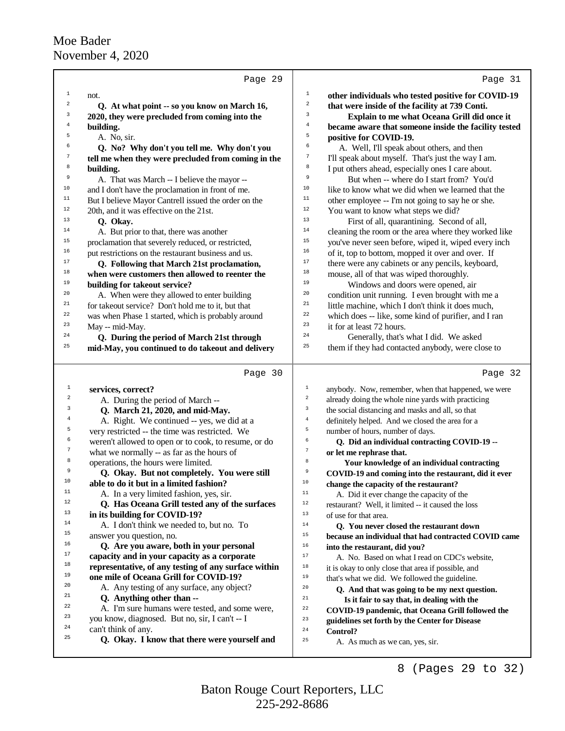|                  | Page 29                                              | Page 31                                                                |
|------------------|------------------------------------------------------|------------------------------------------------------------------------|
| $\mathbf{1}$     | not.                                                 | $\mathbf 1$<br>other individuals who tested positive for COVID-19      |
| $\mathbf 2$      | Q. At what point -- so you know on March 16,         | $\,2$<br>that were inside of the facility at 739 Conti.                |
| 3                | 2020, they were precluded from coming into the       | $\mathbf{3}$<br>Explain to me what Oceana Grill did once it            |
| 4                | building.                                            | $\overline{4}$<br>became aware that someone inside the facility tested |
| 5                | A. No, sir.                                          | 5<br>positive for COVID-19.                                            |
| б                | Q. No? Why don't you tell me. Why don't you          | б<br>A. Well, I'll speak about others, and then                        |
| 7                | tell me when they were precluded from coming in the  | $\sqrt{ }$<br>I'll speak about myself. That's just the way I am.       |
| 8                | building.                                            | 8<br>I put others ahead, especially ones I care about.                 |
| $\,9$            | A. That was March -- I believe the mayor --          | 9<br>But when -- where do I start from? You'd                          |
| 10               | and I don't have the proclamation in front of me.    | 10<br>like to know what we did when we learned that the                |
| $11\,$           | But I believe Mayor Cantrell issued the order on the | 11<br>other employee -- I'm not going to say he or she.                |
| 12               | 20th, and it was effective on the 21st.              | $12\,$<br>You want to know what steps we did?                          |
| 13               | Q. Okay.                                             | 13<br>First of all, quarantining. Second of all,                       |
| 14               | A. But prior to that, there was another              | 14<br>cleaning the room or the area where they worked like             |
| 15               | proclamation that severely reduced, or restricted,   | 15<br>you've never seen before, wiped it, wiped every inch             |
| 16               | put restrictions on the restaurant business and us.  | $16$<br>of it, top to bottom, mopped it over and over. If              |
| 17               | Q. Following that March 21st proclamation,           | 17<br>there were any cabinets or any pencils, keyboard,                |
| 18               | when were customers then allowed to reenter the      | $18\,$<br>mouse, all of that was wiped thoroughly.                     |
| 19               | building for takeout service?                        | 19<br>Windows and doors were opened, air                               |
| 20               | A. When were they allowed to enter building          | 20<br>condition unit running. I even brought with me a                 |
| 21               | for takeout service? Don't hold me to it, but that   | 21<br>little machine, which I don't think it does much,                |
| 22               | was when Phase 1 started, which is probably around   | 22<br>which does -- like, some kind of purifier, and I ran             |
| 23               | May -- mid-May.                                      | 23<br>it for at least 72 hours.                                        |
| 24               | Q. During the period of March 21st through           | 24<br>Generally, that's what I did. We asked                           |
| 25               | mid-May, you continued to do takeout and delivery    | 25<br>them if they had contacted anybody, were close to                |
|                  |                                                      |                                                                        |
|                  | Page 30                                              | Page 32                                                                |
| $\mathbf 1$      | services, correct?                                   | $\,1$<br>anybody. Now, remember, when that happened, we were           |
| $\boldsymbol{2}$ | A. During the period of March --                     | $\sqrt{2}$<br>already doing the whole nine yards with practicing       |
| 3                | Q. March 21, 2020, and mid-May.                      | 3<br>the social distancing and masks and all, so that                  |
| 4                | A. Right. We continued -- yes, we did at a           | $\,4\,$<br>definitely helped. And we closed the area for a             |
| 5                | very restricted -- the time was restricted. We       | 5<br>number of hours, number of days.                                  |
| 6                | weren't allowed to open or to cook, to resume, or do | 6<br>Q. Did an individual contracting COVID-19 --                      |
| 7                | what we normally -- as far as the hours of           | $\boldsymbol{7}$<br>or let me rephrase that.                           |
| 8                | operations, the hours were limited.                  | 8<br>Your knowledge of an individual contracting                       |
| 9                | Q. Okay. But not completely. You were still          | 9<br>COVID-19 and coming into the restaurant, did it ever              |
| 10               | able to do it but in a limited fashion?              | 10<br>change the capacity of the restaurant?                           |
| 11               | A. In a very limited fashion, yes, sir.              | $1\,1$<br>A. Did it ever change the capacity of the                    |
| 12               |                                                      |                                                                        |
|                  | Q. Has Oceana Grill tested any of the surfaces       | 12<br>restaurant? Well, it limited -- it caused the loss               |
| 13               | in its building for COVID-19?                        | 13<br>of use for that area.                                            |
| 14               | A. I don't think we needed to, but no. To            | 14<br>Q. You never closed the restaurant down                          |
| 15               | answer you question, no.                             | 15<br>because an individual that had contracted COVID came             |
| 16               | Q. Are you aware, both in your personal              | 16<br>into the restaurant, did you?                                    |
| 17               | capacity and in your capacity as a corporate         | 17<br>A. No. Based on what I read on CDC's website,                    |
| 18               | representative, of any testing of any surface within | 18<br>it is okay to only close that area if possible, and              |
| 19               | one mile of Oceana Grill for COVID-19?               | 19<br>that's what we did. We followed the guideline.                   |
| 20               | A. Any testing of any surface, any object?           | 20<br>Q. And that was going to be my next question.                    |
| 21               | Q. Anything other than --                            | 21<br>Is it fair to say that, in dealing with the                      |
| 22               | A. I'm sure humans were tested, and some were,       | 22<br>COVID-19 pandemic, that Oceana Grill followed the                |
| 23               | you know, diagnosed. But no, sir, I can't -- I       | 23<br>guidelines set forth by the Center for Disease                   |
| 24               | can't think of any.                                  | 24<br>Control?                                                         |
| 25               | Q. Okay. I know that there were yourself and         | 25<br>A. As much as we can, yes, sir.                                  |

8 (Pages 29 to 32)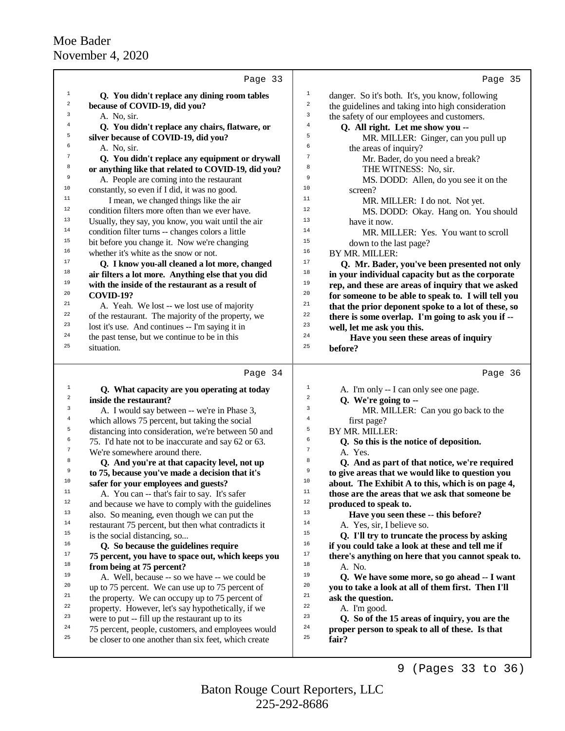| Page 33                                                                                                         | Page 35                                             |
|-----------------------------------------------------------------------------------------------------------------|-----------------------------------------------------|
| $\mathbf{1}$                                                                                                    | $\mathbf{1}$                                        |
| Q. You didn't replace any dining room tables                                                                    | danger. So it's both. It's, you know, following     |
| $\boldsymbol{2}$                                                                                                | $\,2$                                               |
| because of COVID-19, did you?                                                                                   | the guidelines and taking into high consideration   |
| 3                                                                                                               | 3                                                   |
| A. No, sir.                                                                                                     | the safety of our employees and customers.          |
| 4                                                                                                               | $\,4$                                               |
| Q. You didn't replace any chairs, flatware, or                                                                  | Q. All right. Let me show you --                    |
| 5                                                                                                               | 5                                                   |
| silver because of COVID-19, did you?                                                                            | MR. MILLER: Ginger, can you pull up                 |
| 6                                                                                                               | 6                                                   |
| A. No, sir.                                                                                                     | the areas of inquiry?                               |
| 7                                                                                                               | 7                                                   |
| Q. You didn't replace any equipment or drywall                                                                  | Mr. Bader, do you need a break?                     |
| 8                                                                                                               | 8                                                   |
| or anything like that related to COVID-19, did you?                                                             | THE WITNESS: No, sir.                               |
| 9                                                                                                               | 9                                                   |
| A. People are coming into the restaurant                                                                        | MS. DODD: Allen, do you see it on the               |
| 10                                                                                                              | 10                                                  |
| constantly, so even if I did, it was no good.                                                                   | screen?                                             |
| 11                                                                                                              | 11                                                  |
| I mean, we changed things like the air                                                                          | MR. MILLER: I do not. Not yet.                      |
| 12                                                                                                              | 12                                                  |
| condition filters more often than we ever have.                                                                 | MS. DODD: Okay. Hang on. You should                 |
| 13                                                                                                              | 13                                                  |
| Usually, they say, you know, you wait until the air                                                             | have it now.                                        |
| 14                                                                                                              | 14                                                  |
| condition filter turns -- changes colors a little                                                               | MR. MILLER: Yes. You want to scroll                 |
| 15                                                                                                              | 15                                                  |
| bit before you change it. Now we're changing                                                                    | down to the last page?                              |
| 16                                                                                                              | 16                                                  |
| whether it's white as the snow or not.                                                                          | BY MR. MILLER:                                      |
| 17                                                                                                              | 17                                                  |
| Q. I know you-all cleaned a lot more, changed                                                                   | Q. Mr. Bader, you've been presented not only        |
| 18                                                                                                              | 18                                                  |
| air filters a lot more. Anything else that you did                                                              | in your individual capacity but as the corporate    |
| 19                                                                                                              | 19                                                  |
| with the inside of the restaurant as a result of                                                                | rep, and these are areas of inquiry that we asked   |
| 20                                                                                                              | 20                                                  |
| <b>COVID-19?</b>                                                                                                | for someone to be able to speak to. I will tell you |
| 21                                                                                                              | 21                                                  |
| A. Yeah. We lost -- we lost use of majority                                                                     | that the prior deponent spoke to a lot of these, so |
| 22                                                                                                              | 22                                                  |
| of the restaurant. The majority of the property, we                                                             | there is some overlap. I'm going to ask you if --   |
| 23                                                                                                              | 23                                                  |
| lost it's use. And continues -- I'm saying it in                                                                | well, let me ask you this.                          |
| 24                                                                                                              | 24                                                  |
| the past tense, but we continue to be in this                                                                   | Have you seen these areas of inquiry                |
| 25                                                                                                              | 25                                                  |
| situation.                                                                                                      | before?                                             |
| Page 34                                                                                                         | Page 36                                             |
|                                                                                                                 |                                                     |
| $\mathbf{1}$                                                                                                    | 1                                                   |
| Q. What capacity are you operating at today                                                                     | A. I'm only -- I can only see one page.             |
| 2                                                                                                               | $\overline{c}$                                      |
| inside the restaurant?                                                                                          | Q. We're going to --                                |
| 3                                                                                                               | 3                                                   |
| A. I would say between -- we're in Phase 3,                                                                     | MR. MILLER: Can you go back to the                  |
| $\overline{4}$                                                                                                  | $\bf 4$                                             |
| which allows 75 percent, but taking the social<br>5                                                             | first page?<br>5<br>BY MR. MILLER:                  |
| distancing into consideration, we're between 50 and<br>6<br>75. I'd hate not to be inaccurate and say 62 or 63. | 6<br>Q. So this is the notice of deposition.        |
| 7                                                                                                               | $\boldsymbol{7}$                                    |
| We're somewhere around there.                                                                                   | A. Yes.                                             |
| 8                                                                                                               | 8                                                   |
| Q. And you're at that capacity level, not up                                                                    | Q. And as part of that notice, we're required       |
| 9                                                                                                               | 9                                                   |
| to 75, because you've made a decision that it's                                                                 | to give areas that we would like to question you    |
| 10                                                                                                              | $10$                                                |
| safer for your employees and guests?                                                                            | about. The Exhibit A to this, which is on page 4,   |
| 11                                                                                                              | 11                                                  |
| A. You can -- that's fair to say. It's safer                                                                    | those are the areas that we ask that someone be     |
| 12                                                                                                              | 12                                                  |
| and because we have to comply with the guidelines                                                               | produced to speak to.                               |
| 13                                                                                                              | 13                                                  |
| also. So meaning, even though we can put the                                                                    | Have you seen these -- this before?                 |
| 14                                                                                                              | 14                                                  |
| restaurant 75 percent, but then what contradicts it                                                             | A. Yes, sir, I believe so.                          |
| 15                                                                                                              | 15                                                  |
| is the social distancing, so                                                                                    | Q. I'll try to truncate the process by asking       |
| 16                                                                                                              | 16                                                  |
| Q. So because the guidelines require                                                                            | if you could take a look at these and tell me if    |
| 17                                                                                                              | 17                                                  |
| 75 percent, you have to space out, which keeps you                                                              | there's anything on here that you cannot speak to.  |
| 18                                                                                                              | 18                                                  |
| from being at 75 percent?                                                                                       | A. No.                                              |
| 19                                                                                                              | 19                                                  |
| A. Well, because -- so we have -- we could be                                                                   | Q. We have some more, so go ahead -- I want         |
| 20                                                                                                              | 20                                                  |
| up to 75 percent. We can use up to 75 percent of                                                                | you to take a look at all of them first. Then I'll  |
| 21                                                                                                              | 21                                                  |
| the property. We can occupy up to 75 percent of                                                                 | ask the question.                                   |
| 22                                                                                                              | 22                                                  |
| property. However, let's say hypothetically, if we                                                              | A. I'm good.                                        |
| 23                                                                                                              | 23                                                  |
| were to put -- fill up the restaurant up to its                                                                 | Q. So of the 15 areas of inquiry, you are the       |
| 24                                                                                                              | 24                                                  |
| 75 percent, people, customers, and employees would                                                              | proper person to speak to all of these. Is that     |
| 25                                                                                                              | 25                                                  |
| be closer to one another than six feet, which create                                                            | fair?                                               |

9 (Pages 33 to 36)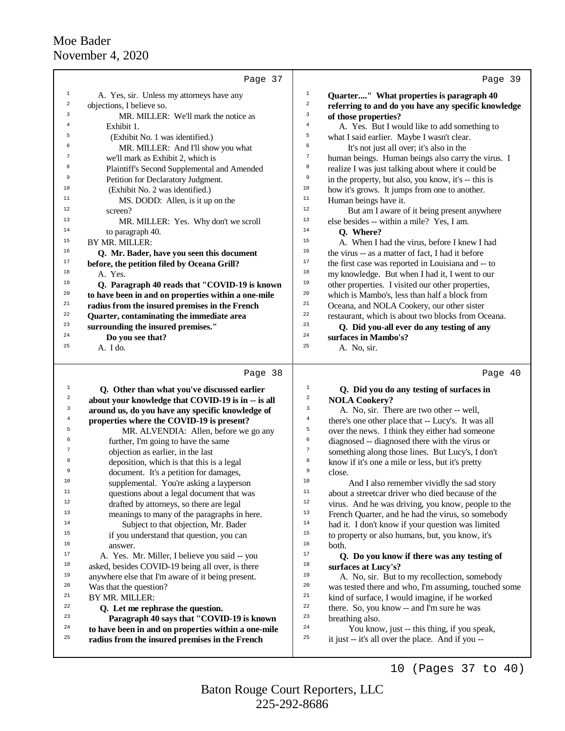|                | Page 37                                             |                         | Page 39                                              |
|----------------|-----------------------------------------------------|-------------------------|------------------------------------------------------|
| $\mathbf{1}$   | A. Yes, sir. Unless my attorneys have any           | $\mathbf{1}$            | Quarter" What properties is paragraph 40             |
| $\overline{a}$ | objections, I believe so.                           | $\overline{\mathbf{c}}$ | referring to and do you have any specific knowledge  |
| 3              | MR. MILLER: We'll mark the notice as                | 3                       | of those properties?                                 |
| $\overline{4}$ | Exhibit 1.                                          | $\overline{4}$          | A. Yes. But I would like to add something to         |
| 5              | (Exhibit No. 1 was identified.)                     | 5                       | what I said earlier. Maybe I wasn't clear.           |
|                | MR. MILLER: And I'll show you what                  | 6                       | It's not just all over; it's also in the             |
| 7              | we'll mark as Exhibit 2, which is                   | $\overline{7}$          | human beings. Human beings also carry the virus. I   |
| 8              | Plaintiff's Second Supplemental and Amended         | 8                       | realize I was just talking about where it could be   |
| 9              | Petition for Declaratory Judgment.                  | 9                       | in the property, but also, you know, it's -- this is |
| 10             | (Exhibit No. 2 was identified.)                     | 10                      | how it's grows. It jumps from one to another.        |
| 11             | MS. DODD: Allen, is it up on the                    | 11                      | Human beings have it.                                |
| 12             | screen?                                             | 12                      | But am I aware of it being present anywhere          |
| 13             | MR. MILLER: Yes. Why don't we scroll                | 13                      | else besides -- within a mile? Yes, I am.            |
| 14             | to paragraph 40.                                    | 14                      | Q. Where?                                            |
| 15             | BY MR. MILLER:                                      | 15                      | A. When I had the virus, before I knew I had         |
| 16             | Q. Mr. Bader, have you seen this document           | 16                      | the virus -- as a matter of fact, I had it before    |
| 17             | before, the petition filed by Oceana Grill?         | 17                      | the first case was reported in Louisiana and -- to   |
| 18             | A. Yes.                                             | 18                      | my knowledge. But when I had it, I went to our       |
| 19             | Q. Paragraph 40 reads that "COVID-19 is known       | 19                      | other properties. I visited our other properties,    |
| 20             | to have been in and on properties within a one-mile | 20                      | which is Mambo's, less than half a block from        |
| 21             | radius from the insured premises in the French      | 21                      | Oceana, and NOLA Cookery, our other sister           |
| 22             | Quarter, contaminating the immediate area           | 22                      | restaurant, which is about two blocks from Oceana.   |
| 23             | surrounding the insured premises."                  | 23                      | Q. Did you-all ever do any testing of any            |
| 24             | Do you see that?                                    | 24                      | surfaces in Mambo's?                                 |
| 25             | A. I do.                                            | 25                      | A. No, sir.                                          |
|                | Page 38                                             |                         | Page 40                                              |

| $\mathbf{1}$<br>$\sqrt{2}$<br>3<br>$\,4$<br>5<br>6<br>7<br>8<br>9<br>10<br>11<br>12<br>13<br>14<br>15<br>16<br>17<br>18<br>19 | Q. Other than what you've discussed earlier<br>about your knowledge that COVID-19 is in -- is all<br>around us, do you have any specific knowledge of<br>properties where the COVID-19 is present?<br>MR. ALVENDIA: Allen, before we go any<br>further, I'm going to have the same<br>objection as earlier, in the last<br>deposition, which is that this is a legal<br>document. It's a petition for damages,<br>supplemental. You're asking a layperson<br>questions about a legal document that was<br>drafted by attorneys, so there are legal<br>meanings to many of the paragraphs in here.<br>Subject to that objection, Mr. Bader<br>if you understand that question, you can<br>answer.<br>A. Yes. Mr. Miller, I believe you said -- you<br>asked, besides COVID-19 being all over, is there<br>anywhere else that I'm aware of it being present. | $\mathbf{1}$<br>$\overline{\mathbf{c}}$<br>3<br>4<br>5<br>6<br>7<br>8<br>9<br>10<br>11<br>12<br>13<br>14<br>15<br>16<br>17<br>18<br>19 | Q. Did you do any testing of surfaces in<br><b>NOLA Cookery?</b><br>A. No, sir. There are two other -- well,<br>there's one other place that -- Lucy's. It was all<br>over the news. I think they either had someone<br>diagnosed -- diagnosed there with the virus or<br>something along those lines. But Lucy's, I don't<br>know if it's one a mile or less, but it's pretty<br>close.<br>And I also remember vividly the sad story<br>about a streetcar driver who died because of the<br>virus. And he was driving, you know, people to the<br>French Quarter, and he had the virus, so somebody<br>had it. I don't know if your question was limited<br>to property or also humans, but, you know, it's<br>both.<br>Q. Do you know if there was any testing of<br>surfaces at Lucy's?<br>A. No, sir. But to my recollection, somebody |
|-------------------------------------------------------------------------------------------------------------------------------|------------------------------------------------------------------------------------------------------------------------------------------------------------------------------------------------------------------------------------------------------------------------------------------------------------------------------------------------------------------------------------------------------------------------------------------------------------------------------------------------------------------------------------------------------------------------------------------------------------------------------------------------------------------------------------------------------------------------------------------------------------------------------------------------------------------------------------------------------------|----------------------------------------------------------------------------------------------------------------------------------------|--------------------------------------------------------------------------------------------------------------------------------------------------------------------------------------------------------------------------------------------------------------------------------------------------------------------------------------------------------------------------------------------------------------------------------------------------------------------------------------------------------------------------------------------------------------------------------------------------------------------------------------------------------------------------------------------------------------------------------------------------------------------------------------------------------------------------------------------|
|                                                                                                                               |                                                                                                                                                                                                                                                                                                                                                                                                                                                                                                                                                                                                                                                                                                                                                                                                                                                            |                                                                                                                                        |                                                                                                                                                                                                                                                                                                                                                                                                                                                                                                                                                                                                                                                                                                                                                                                                                                            |
|                                                                                                                               |                                                                                                                                                                                                                                                                                                                                                                                                                                                                                                                                                                                                                                                                                                                                                                                                                                                            |                                                                                                                                        |                                                                                                                                                                                                                                                                                                                                                                                                                                                                                                                                                                                                                                                                                                                                                                                                                                            |
| 20                                                                                                                            | Was that the question?                                                                                                                                                                                                                                                                                                                                                                                                                                                                                                                                                                                                                                                                                                                                                                                                                                     | 20                                                                                                                                     | was tested there and who, I'm assuming, touched some                                                                                                                                                                                                                                                                                                                                                                                                                                                                                                                                                                                                                                                                                                                                                                                       |
| 21                                                                                                                            | BY MR. MILLER:                                                                                                                                                                                                                                                                                                                                                                                                                                                                                                                                                                                                                                                                                                                                                                                                                                             | 21                                                                                                                                     | kind of surface, I would imagine, if he worked                                                                                                                                                                                                                                                                                                                                                                                                                                                                                                                                                                                                                                                                                                                                                                                             |
| 22                                                                                                                            | Q. Let me rephrase the question.                                                                                                                                                                                                                                                                                                                                                                                                                                                                                                                                                                                                                                                                                                                                                                                                                           | 22                                                                                                                                     | there. So, you know -- and I'm sure he was                                                                                                                                                                                                                                                                                                                                                                                                                                                                                                                                                                                                                                                                                                                                                                                                 |
| 23                                                                                                                            | Paragraph 40 says that "COVID-19 is known                                                                                                                                                                                                                                                                                                                                                                                                                                                                                                                                                                                                                                                                                                                                                                                                                  | 23                                                                                                                                     | breathing also.                                                                                                                                                                                                                                                                                                                                                                                                                                                                                                                                                                                                                                                                                                                                                                                                                            |
| 24                                                                                                                            | to have been in and on properties within a one-mile                                                                                                                                                                                                                                                                                                                                                                                                                                                                                                                                                                                                                                                                                                                                                                                                        | 24                                                                                                                                     | You know, just -- this thing, if you speak,                                                                                                                                                                                                                                                                                                                                                                                                                                                                                                                                                                                                                                                                                                                                                                                                |
| 25                                                                                                                            | radius from the insured premises in the French                                                                                                                                                                                                                                                                                                                                                                                                                                                                                                                                                                                                                                                                                                                                                                                                             | 25                                                                                                                                     | it just -- it's all over the place. And if you --                                                                                                                                                                                                                                                                                                                                                                                                                                                                                                                                                                                                                                                                                                                                                                                          |

10 (Pages 37 to 40)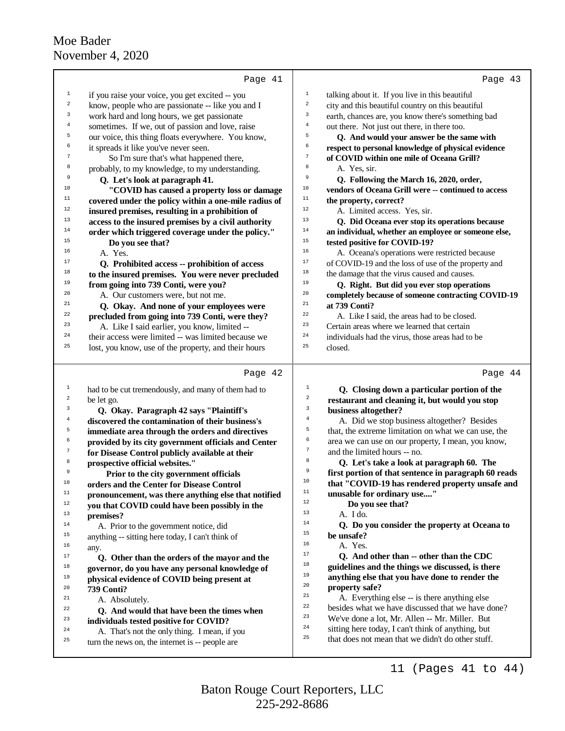|                         | Page 41                                                                                | Page 43                                                                                           |
|-------------------------|----------------------------------------------------------------------------------------|---------------------------------------------------------------------------------------------------|
| $1\,$                   | if you raise your voice, you get excited -- you                                        | $\mathbf 1$<br>talking about it. If you live in this beautiful                                    |
| $\mathbf 2$             | know, people who are passionate -- like you and I                                      | $\,2$<br>city and this beautiful country on this beautiful                                        |
| 3                       | work hard and long hours, we get passionate                                            | $\mathsf 3$<br>earth, chances are, you know there's something bad                                 |
| $\overline{4}$          | sometimes. If we, out of passion and love, raise                                       | $\,4$<br>out there. Not just out there, in there too.                                             |
| 5                       | our voice, this thing floats everywhere. You know,                                     | 5<br>Q. And would your answer be the same with                                                    |
| б                       | it spreads it like you've never seen.                                                  | 6<br>respect to personal knowledge of physical evidence                                           |
| $\overline{7}$          | So I'm sure that's what happened there,                                                | $\sqrt{ }$<br>of COVID within one mile of Oceana Grill?                                           |
| 8                       | probably, to my knowledge, to my understanding.                                        | 8<br>A. Yes. sir.                                                                                 |
| 9                       | Q. Let's look at paragraph 41.                                                         | 9<br>Q. Following the March 16, 2020, order,                                                      |
| 10                      | "COVID has caused a property loss or damage                                            | $10$<br>vendors of Oceana Grill were -- continued to access                                       |
| $11\,$                  | covered under the policy within a one-mile radius of                                   | $\mathbf{11}%$<br>the property, correct?                                                          |
| 12                      | insured premises, resulting in a prohibition of                                        | $12$<br>A. Limited access. Yes, sir.                                                              |
| 13                      | access to the insured premises by a civil authority                                    | 13<br>Q. Did Oceana ever stop its operations because                                              |
| 14                      | order which triggered coverage under the policy."                                      | 14<br>an individual, whether an employee or someone else,                                         |
| 15                      | Do you see that?                                                                       | 15<br>tested positive for COVID-19?                                                               |
| 16                      | A. Yes.                                                                                | 16<br>A. Oceana's operations were restricted because                                              |
| 17                      | Q. Prohibited access -- prohibition of access                                          | 17<br>of COVID-19 and the loss of use of the property and                                         |
| 18                      | to the insured premises. You were never precluded                                      | 18<br>the damage that the virus caused and causes.                                                |
| 19                      | from going into 739 Conti, were you?                                                   | 19<br>Q. Right. But did you ever stop operations                                                  |
| 20                      | A. Our customers were, but not me.                                                     | 20<br>completely because of someone contracting COVID-19                                          |
| 21                      | Q. Okay. And none of your employees were                                               | $2\sqrt{1}$<br>at 739 Conti?                                                                      |
| 22                      | precluded from going into 739 Conti, were they?                                        | 22<br>A. Like I said, the areas had to be closed.                                                 |
| 23<br>24                | A. Like I said earlier, you know, limited --                                           | 23<br>Certain areas where we learned that certain<br>24                                           |
| 25                      | their access were limited -- was limited because we                                    | individuals had the virus, those areas had to be<br>25                                            |
|                         | lost, you know, use of the property, and their hours                                   | closed.                                                                                           |
|                         | Page 42                                                                                | Page 44                                                                                           |
| 1                       | had to be cut tremendously, and many of them had to                                    | $1\,$<br>Q. Closing down a particular portion of the                                              |
| $\overline{\mathbf{c}}$ | be let go.                                                                             | $\overline{a}$<br>restaurant and cleaning it, but would you stop                                  |
| 3                       | Q. Okay. Paragraph 42 says "Plaintiff's                                                | $\mathbf{3}$<br>business altogether?                                                              |
| $\overline{4}$          | discovered the contamination of their business's                                       | $\bf{4}$<br>A. Did we stop business altogether? Besides                                           |
| 5                       | immediate area through the orders and directives                                       | 5<br>that, the extreme limitation on what we can use, the                                         |
| 6                       | provided by its city government officials and Center                                   | 6<br>area we can use on our property, I mean, you know,                                           |
| $\boldsymbol{7}$        | for Disease Control publicly available at their                                        | $\tau$<br>and the limited hours -- no.                                                            |
| 8                       | prospective official websites."                                                        | 8<br>Q. Let's take a look at paragraph 60. The                                                    |
| 9                       | Prior to the city government officials                                                 | $\overline{9}$<br>first portion of that sentence in paragraph 60 reads                            |
| 10                      | orders and the Center for Disease Control                                              | 10<br>that "COVID-19 has rendered property unsafe and<br>$11\,$                                   |
| $11$                    | pronouncement, was there anything else that notified                                   | unusable for ordinary use"<br>$12\,$                                                              |
| $12\,$                  | you that COVID could have been possibly in the                                         | Do you see that?<br>13                                                                            |
| 13                      | premises?                                                                              | A. I do.<br>14                                                                                    |
| 14                      | A. Prior to the government notice, did                                                 | Q. Do you consider the property at Oceana to<br>$15\,$                                            |
| 15                      | anything -- sitting here today, I can't think of                                       | be unsafe?<br>16<br>A. Yes.                                                                       |
| 16<br>17                | any.                                                                                   | 17                                                                                                |
| 18                      | Q. Other than the orders of the mayor and the                                          | Q. And other than -- other than the CDC<br>18<br>guidelines and the things we discussed, is there |
| 19                      | governor, do you have any personal knowledge of                                        | 19<br>anything else that you have done to render the                                              |
| 20                      | physical evidence of COVID being present at                                            | 20<br>property safe?                                                                              |
| 21                      | 739 Conti?                                                                             | $21\,$<br>A. Everything else -- is there anything else                                            |
| 22                      | A. Absolutely.                                                                         | $^{\rm 22}$<br>besides what we have discussed that we have done?                                  |
| 23                      | Q. And would that have been the times when                                             | 23<br>We've done a lot, Mr. Allen -- Mr. Miller. But                                              |
| 24                      | individuals tested positive for COVID?<br>A. That's not the only thing. I mean, if you | 24<br>sitting here today, I can't think of anything, but                                          |
| 25                      | turn the news on, the internet is -- people are                                        | 25<br>that does not mean that we didn't do other stuff.                                           |
|                         |                                                                                        |                                                                                                   |

225-292-8686 Baton Rouge Court Reporters, LLC

11 (Pages 41 to 44)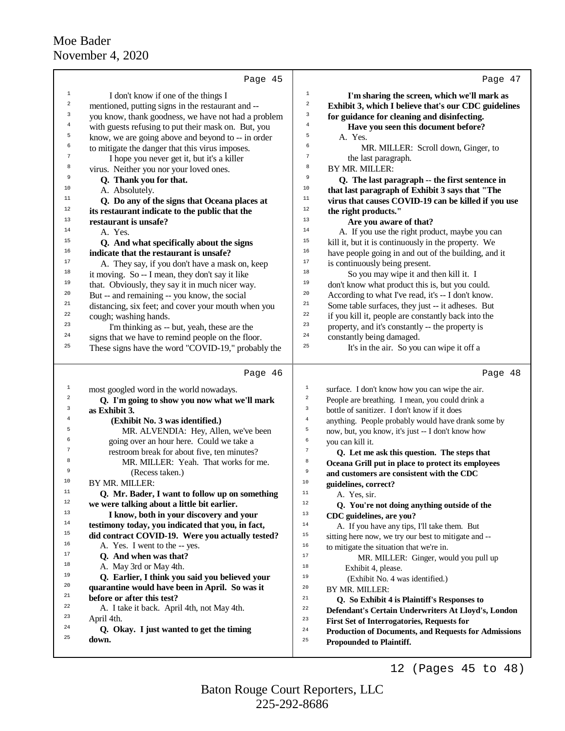|                  | Page 45                                             | Page 47                                                               |
|------------------|-----------------------------------------------------|-----------------------------------------------------------------------|
| $\mathbf{1}$     | I don't know if one of the things I                 | $\mathbf 1$<br>I'm sharing the screen, which we'll mark as            |
| $\,2$            | mentioned, putting signs in the restaurant and --   | $\,2$<br>Exhibit 3, which I believe that's our CDC guidelines         |
| 3                | you know, thank goodness, we have not had a problem | 3<br>for guidance for cleaning and disinfecting.                      |
| $\bf{4}$         | with guests refusing to put their mask on. But, you | $\bf{4}$<br>Have you seen this document before?                       |
| 5                | know, we are going above and beyond to -- in order  | 5<br>A. Yes.                                                          |
| 6                | to mitigate the danger that this virus imposes.     | 6<br>MR. MILLER: Scroll down, Ginger, to                              |
| $\overline{7}$   |                                                     | $\boldsymbol{7}$                                                      |
| 8                | I hope you never get it, but it's a killer          | the last paragraph.<br>8<br>BY MR. MILLER:                            |
| 9                | virus. Neither you nor your loved ones.             | 9                                                                     |
| 10               | Q. Thank you for that.                              | Q. The last paragraph -- the first sentence in<br>10                  |
| 11               | A. Absolutely.                                      | that last paragraph of Exhibit 3 says that "The<br>11                 |
| 12               | Q. Do any of the signs that Oceana places at        | virus that causes COVID-19 can be killed if you use<br>12             |
| 13               | its restaurant indicate to the public that the      | the right products."<br>13                                            |
| 14               | restaurant is unsafe?                               | Are you aware of that?<br>14                                          |
| 15               | A. Yes.                                             | A. If you use the right product, maybe you can<br>15                  |
| 16               | Q. And what specifically about the signs            | kill it, but it is continuously in the property. We<br>16             |
| 17               | indicate that the restaurant is unsafe?             | have people going in and out of the building, and it<br>$17\,$        |
|                  | A. They say, if you don't have a mask on, keep      | is continuously being present.                                        |
| 18               | it moving. So -- I mean, they don't say it like     | 18<br>So you may wipe it and then kill it. I                          |
| 19               | that. Obviously, they say it in much nicer way.     | 19<br>don't know what product this is, but you could.                 |
| 20               | But -- and remaining -- you know, the social        | 20<br>According to what I've read, it's -- I don't know.              |
| 21               | distancing, six feet; and cover your mouth when you | 21<br>Some table surfaces, they just -- it adheses. But               |
| 22               | cough; washing hands.                               | 22<br>if you kill it, people are constantly back into the             |
| 23               | I'm thinking as -- but, yeah, these are the         | 23<br>property, and it's constantly -- the property is                |
| 24               | signs that we have to remind people on the floor.   | 24<br>constantly being damaged.                                       |
| 25               | These signs have the word "COVID-19," probably the  | 25<br>It's in the air. So you can wipe it off a                       |
|                  |                                                     |                                                                       |
|                  | Page 46                                             | Page 48                                                               |
| $\mathbf{1}$     | most googled word in the world nowadays.            | $\mathbf{1}$<br>surface. I don't know how you can wipe the air.       |
| $\boldsymbol{2}$ | Q. I'm going to show you now what we'll mark        | $\,2$<br>People are breathing. I mean, you could drink a              |
| 3                | as Exhibit 3.                                       | 3<br>bottle of sanitizer. I don't know if it does                     |
| $\overline{4}$   | (Exhibit No. 3 was identified.)                     | $\overline{4}$<br>anything. People probably would have drank some by  |
| 5                | MR. ALVENDIA: Hey, Allen, we've been                | 5<br>now, but, you know, it's just -- I don't know how                |
| 6                | going over an hour here. Could we take a            | 6<br>you can kill it.                                                 |
| $\boldsymbol{7}$ | restroom break for about five, ten minutes?         | $\boldsymbol{7}$<br>Q. Let me ask this question. The steps that       |
| 8                | MR. MILLER: Yeah. That works for me.                | 8<br>Oceana Grill put in place to protect its employees               |
| 9                | (Recess taken.)                                     | $\,9$<br>and customers are consistent with the CDC                    |
| 10               | BY MR. MILLER:                                      | 10<br>guidelines, correct?                                            |
| 11               | Q. Mr. Bader, I want to follow up on something      | $11$<br>A. Yes, sir.                                                  |
| 12               | we were talking about a little bit earlier.         | 12<br>Q. You're not doing anything outside of the                     |
| 13               | I know, both in your discovery and your             | 13<br>CDC guidelines, are you?                                        |
| 14               | testimony today, you indicated that you, in fact,   | 14<br>A. If you have any tips, I'll take them. But                    |
| 15               | did contract COVID-19. Were you actually tested?    | 15<br>sitting here now, we try our best to mitigate and --            |
| 16               | A. Yes. I went to the -- yes.                       | 16<br>to mitigate the situation that we're in.                        |
| 17               | Q. And when was that?                               | 17<br>MR. MILLER: Ginger, would you pull up                           |
| 18               | A. May 3rd or May 4th.                              | 18<br>Exhibit 4, please.                                              |
| 19               | Q. Earlier, I think you said you believed your      | 19<br>(Exhibit No. 4 was identified.)                                 |
| 20               | quarantine would have been in April. So was it      | 20<br>BY MR. MILLER:                                                  |
| 21               | before or after this test?                          | 21<br>Q. So Exhibit 4 is Plaintiff's Responses to                     |
| 22               | A. I take it back. April 4th, not May 4th.          | 22<br>Defendant's Certain Underwriters At Lloyd's, London             |
| 23               | April 4th.                                          | 23<br><b>First Set of Interrogatories, Requests for</b>               |
| 24               | Q. Okay. I just wanted to get the timing            | $2\,4$<br><b>Production of Documents, and Requests for Admissions</b> |
| 25               | down.                                               | 25<br><b>Propounded to Plaintiff.</b>                                 |
|                  |                                                     |                                                                       |
|                  |                                                     | (Pages 45 to 48)<br>12                                                |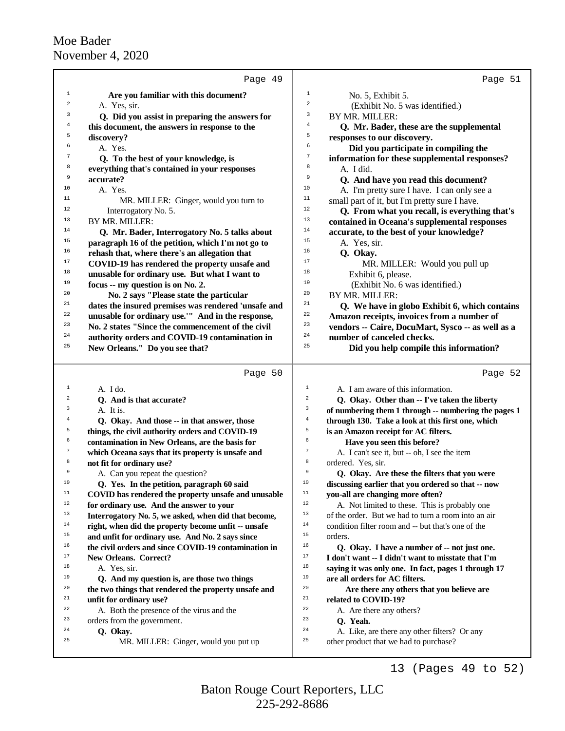|                  | Page 49                                                                                                  | Page 51                                                                                                             |  |
|------------------|----------------------------------------------------------------------------------------------------------|---------------------------------------------------------------------------------------------------------------------|--|
| $\mathbf{1}$     | Are you familiar with this document?                                                                     | $\mathbf{1}$<br>No. 5, Exhibit 5.                                                                                   |  |
| $\overline{a}$   | A. Yes, sir.                                                                                             | $\overline{\mathbf{c}}$<br>(Exhibit No. 5 was identified.)                                                          |  |
| 3                | Q. Did you assist in preparing the answers for                                                           | 3<br>BY MR. MILLER:                                                                                                 |  |
| 4                | this document, the answers in response to the                                                            | 4<br>Q. Mr. Bader, these are the supplemental                                                                       |  |
| 5                | discovery?                                                                                               | 5<br>responses to our discovery.                                                                                    |  |
| 6                | A. Yes.                                                                                                  | 6<br>Did you participate in compiling the                                                                           |  |
| 7                | Q. To the best of your knowledge, is                                                                     | 7<br>information for these supplemental responses?                                                                  |  |
| 8                | everything that's contained in your responses                                                            | 8<br>A. I did.                                                                                                      |  |
| 9                | accurate?                                                                                                | 9<br>Q. And have you read this document?                                                                            |  |
| 10               | A. Yes.                                                                                                  | 10<br>A. I'm pretty sure I have. I can only see a                                                                   |  |
| 11               | MR. MILLER: Ginger, would you turn to                                                                    | 11<br>small part of it, but I'm pretty sure I have.                                                                 |  |
| 12               | Interrogatory No. 5.                                                                                     | 12<br>Q. From what you recall, is everything that's                                                                 |  |
| 13               | BY MR. MILLER:                                                                                           | 13<br>contained in Oceana's supplemental responses                                                                  |  |
| 14               | Q. Mr. Bader, Interrogatory No. 5 talks about                                                            | 14<br>accurate, to the best of your knowledge?                                                                      |  |
| 15               | paragraph 16 of the petition, which I'm not go to                                                        | 15<br>A. Yes, sir.                                                                                                  |  |
| 16               | rehash that, where there's an allegation that                                                            | 16<br>Q. Okay.                                                                                                      |  |
| 17               | COVID-19 has rendered the property unsafe and                                                            | 17<br>MR. MILLER: Would you pull up                                                                                 |  |
| 18               | unusable for ordinary use. But what I want to                                                            | 18<br>Exhibit 6, please.                                                                                            |  |
| 19               | focus -- my question is on No. 2.                                                                        | 19<br>(Exhibit No. 6 was identified.)                                                                               |  |
| 20               | No. 2 says "Please state the particular                                                                  | 20<br>BY MR. MILLER:                                                                                                |  |
| 21<br>22         | dates the insured premises was rendered 'unsafe and                                                      | 21<br>Q. We have in globo Exhibit 6, which contains<br>22                                                           |  |
| 23               | unusable for ordinary use."" And in the response,                                                        | Amazon receipts, invoices from a number of<br>23                                                                    |  |
| 24               | No. 2 states "Since the commencement of the civil<br>authority orders and COVID-19 contamination in      | vendors -- Caire, DocuMart, Sysco -- as well as a<br>24<br>number of canceled checks.                               |  |
| 25               | New Orleans." Do you see that?                                                                           | 25<br>Did you help compile this information?                                                                        |  |
|                  |                                                                                                          |                                                                                                                     |  |
|                  | Page 50                                                                                                  | Page 52                                                                                                             |  |
| $\mathbf{1}$     | A. I do.                                                                                                 | 1<br>A. I am aware of this information.                                                                             |  |
| 2                | Q. And is that accurate?                                                                                 | $\sqrt{2}$<br>Q. Okay. Other than -- I've taken the liberty                                                         |  |
| 3                | A. It is.                                                                                                | 3<br>of numbering them 1 through -- numbering the pages 1                                                           |  |
| $\overline{4}$   | Q. Okay. And those -- in that answer, those                                                              | $\,4$                                                                                                               |  |
| 5                |                                                                                                          | through 130. Take a look at this first one, which                                                                   |  |
|                  | things, the civil authority orders and COVID-19                                                          | 5<br>is an Amazon receipt for AC filters.                                                                           |  |
| 6                | contamination in New Orleans, are the basis for                                                          | 6<br>Have you seen this before?                                                                                     |  |
| $\boldsymbol{7}$ | which Oceana says that its property is unsafe and                                                        | $\sqrt{ }$<br>A. I can't see it, but -- oh, I see the item                                                          |  |
| 8                | not fit for ordinary use?                                                                                | 8<br>ordered. Yes, sir.                                                                                             |  |
| 9                | A. Can you repeat the question?                                                                          | 9<br>Q. Okay. Are these the filters that you were                                                                   |  |
| 10<br>$11\,$     | Q. Yes. In the petition, paragraph 60 said                                                               | $10$<br>discussing earlier that you ordered so that -- now<br>$11\,$                                                |  |
| $12 \,$          | COVID has rendered the property unsafe and unusable                                                      | you-all are changing more often?<br>12                                                                              |  |
| 13               | for ordinary use. And the answer to your                                                                 | A. Not limited to these. This is probably one<br>13                                                                 |  |
| $14\,$           | Interrogatory No. 5, we asked, when did that become,                                                     | of the order. But we had to turn a room into an air<br>14                                                           |  |
| 15               | right, when did the property become unfit -- unsafe                                                      | condition filter room and -- but that's one of the<br>$15$<br>orders.                                               |  |
| 16               | and unfit for ordinary use. And No. 2 says since<br>the civil orders and since COVID-19 contamination in | 16                                                                                                                  |  |
| 17               | New Orleans. Correct?                                                                                    | Q. Okay. I have a number of -- not just one.<br>17                                                                  |  |
| $18\,$           | A. Yes, sir.                                                                                             | I don't want -- I didn't want to misstate that I'm<br>$1\,8$<br>saying it was only one. In fact, pages 1 through 17 |  |
| 19               | Q. And my question is, are those two things                                                              | 19<br>are all orders for AC filters.                                                                                |  |
| 20               | the two things that rendered the property unsafe and                                                     | 20<br>Are there any others that you believe are                                                                     |  |
| 21               | unfit for ordinary use?                                                                                  | $2\sqrt{1}$<br>related to COVID-19?                                                                                 |  |
| 22               | A. Both the presence of the virus and the                                                                | 22<br>A. Are there any others?                                                                                      |  |
| 23               | orders from the government.                                                                              | 23<br>Q. Yeah.                                                                                                      |  |
| 24               | Q. Okay.                                                                                                 | 24<br>A. Like, are there any other filters? Or any                                                                  |  |
| 25               | MR. MILLER: Ginger, would you put up                                                                     | 25<br>other product that we had to purchase?                                                                        |  |

225-292-8686 Baton Rouge Court Reporters, LLC 13 (Pages 49 to 52)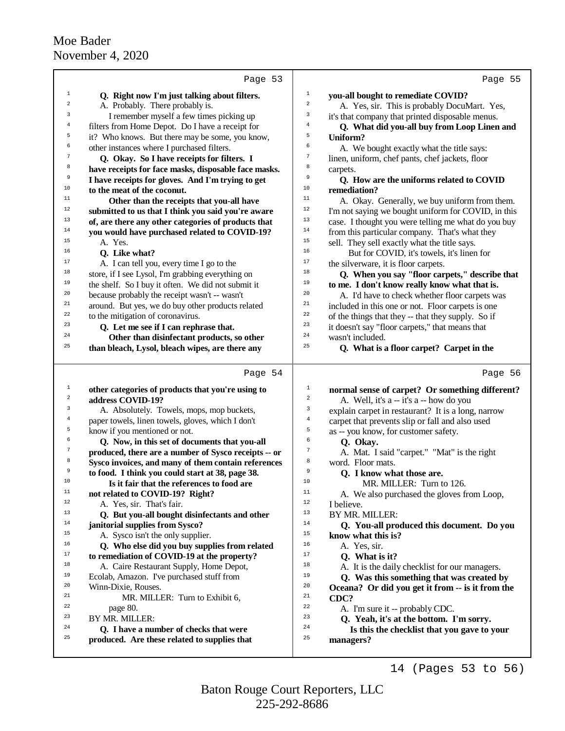|                  | Page 53                                              | Page 55                                                       |
|------------------|------------------------------------------------------|---------------------------------------------------------------|
| $\mathbf{1}$     | Q. Right now I'm just talking about filters.         | $1\,$<br>you-all bought to remediate COVID?                   |
| 2                | A. Probably. There probably is.                      | $\,2$<br>A. Yes, sir. This is probably DocuMart. Yes,         |
| 3                | I remember myself a few times picking up             | 3<br>it's that company that printed disposable menus.         |
| 4                | filters from Home Depot. Do I have a receipt for     | $\overline{4}$<br>Q. What did you-all buy from Loop Linen and |
| 5                | it? Who knows. But there may be some, you know,      | 5<br>Uniform?                                                 |
| 6                | other instances where I purchased filters.           | 6<br>A. We bought exactly what the title says:                |
| 7                | Q. Okay. So I have receipts for filters. I           | 7<br>linen, uniform, chef pants, chef jackets, floor          |
| 8                | have receipts for face masks, disposable face masks. | 8<br>carpets.                                                 |
| 9                | I have receipts for gloves. And I'm trying to get    | 9<br>Q. How are the uniforms related to COVID                 |
| 10               | to the meat of the coconut.                          | $10$<br>remediation?                                          |
| 11               | Other than the receipts that you-all have            | 11<br>A. Okay. Generally, we buy uniform from them.           |
| $12$             | submitted to us that I think you said you're aware   | 12<br>I'm not saying we bought uniform for COVID, in this     |
| 13               | of, are there any other categories of products that  | 13<br>case. I thought you were telling me what do you buy     |
| 14               | you would have purchased related to COVID-19?        | 14<br>from this particular company. That's what they          |
| 15               | A. Yes.                                              | 15<br>sell. They sell exactly what the title says.            |
| 16               | Q. Like what?                                        | 16<br>But for COVID, it's towels, it's linen for              |
| 17               | A. I can tell you, every time I go to the            | 17<br>the silverware, it is floor carpets.                    |
| 18               | store, if I see Lysol, I'm grabbing everything on    | 18<br>Q. When you say "floor carpets," describe that          |
| 19               | the shelf. So I buy it often. We did not submit it   | 19<br>to me. I don't know really know what that is.           |
| 20               | because probably the receipt wasn't -- wasn't        | 20<br>A. I'd have to check whether floor carpets was          |
| 21               | around. But yes, we do buy other products related    | 21<br>included in this one or not. Floor carpets is one       |
| 22               | to the mitigation of coronavirus.                    | 22<br>of the things that they -- that they supply. So if      |
| 23               | Q. Let me see if I can rephrase that.                | 23<br>it doesn't say "floor carpets," that means that         |
| 24               | Other than disinfectant products, so other           | 24<br>wasn't included.                                        |
| 25               | than bleach, Lysol, bleach wipes, are there any      | 25<br>Q. What is a floor carpet? Carpet in the                |
|                  |                                                      |                                                               |
|                  | Page 54                                              | Page 56                                                       |
| $\mathbf 1$      | other categories of products that you're using to    | 1<br>normal sense of carpet? Or something different?          |
| 2                | address COVID-19?                                    | 2<br>A. Well, it's a -- it's a -- how do you                  |
| 3                | A. Absolutely. Towels, mops, mop buckets,            | 3<br>explain carpet in restaurant? It is a long, narrow       |
| 4                | paper towels, linen towels, gloves, which I don't    | $\bf{4}$<br>carpet that prevents slip or fall and also used   |
| 5                | know if you mentioned or not.                        | 5<br>as -- you know, for customer safety.                     |
| б                | Q. Now, in this set of documents that you-all        | 6<br>Q. Okay.                                                 |
| $\boldsymbol{7}$ | produced, there are a number of Sysco receipts -- or | 7<br>A. Mat. I said "carpet." "Mat" is the right              |
| 8                | Sysco invoices, and many of them contain references  | 8<br>word. Floor mats.                                        |
| 9                | to food. I think you could start at 38, page 38.     | 9<br>Q. I know what those are.                                |
| 10               | Is it fair that the references to food are           | 10<br>MR. MILLER: Turn to 126.                                |
| 11               | not related to COVID-19? Right?                      | $11\,$<br>A. We also purchased the gloves from Loop,          |
| 12               | A. Yes, sir. That's fair.                            | $12\,$<br>I believe.                                          |
| 13               | Q. But you-all bought disinfectants and other        | 13<br>BY MR. MILLER:                                          |
| 14               | janitorial supplies from Sysco?                      | 14<br>Q. You-all produced this document. Do you               |
| 15               | A. Sysco isn't the only supplier.                    | 15<br>know what this is?                                      |
| 16               | Q. Who else did you buy supplies from related        | 16<br>A. Yes, sir.                                            |
| 17               | to remediation of COVID-19 at the property?          | 17<br>Q. What is it?                                          |
| 18               | A. Caire Restaurant Supply, Home Depot,              | 18<br>A. It is the daily checklist for our managers.          |
| 19               | Ecolab, Amazon. I've purchased stuff from            | 19<br>Q. Was this something that was created by               |
| 20               | Winn-Dixie, Rouses.                                  | 20<br>Oceana? Or did you get it from -- is it from the        |
| 21               | MR. MILLER: Turn to Exhibit 6,                       | 21<br>CDC?                                                    |
| 22               | page 80.                                             | 22<br>A. I'm sure it -- probably CDC.                         |
| 23               | BY MR. MILLER:                                       | 23<br>Q. Yeah, it's at the bottom. I'm sorry.                 |
| 24               | Q. I have a number of checks that were               | 24<br>Is this the checklist that you gave to your             |
| 25               | produced. Are these related to supplies that         | 25<br>managers?                                               |
|                  |                                                      |                                                               |

225-292-8686 Baton Rouge Court Reporters, LLC

14 (Pages 53 to 56)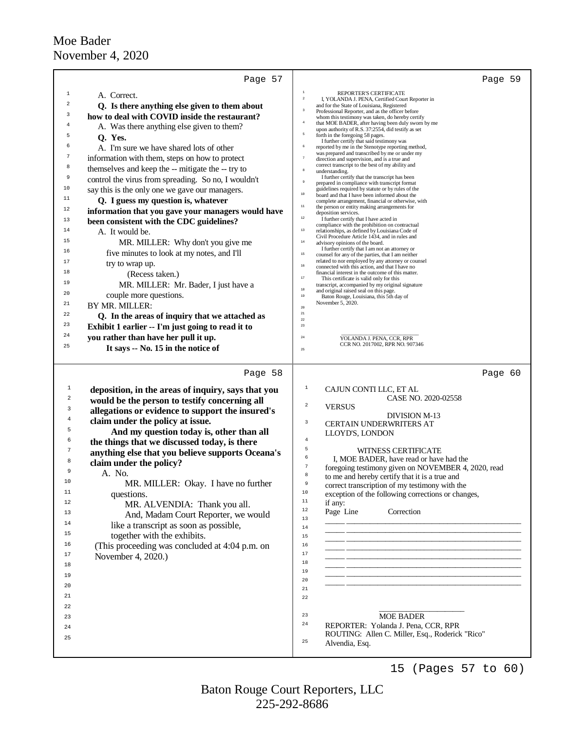| Page 57                                                                                                                                                                                                                                                                                                                                                                                                                                                                                                                                                                                                                                                                                                                                                                                                                                                                                                                                                                                                                                                                                                                                                                           | Page 59                                                                                                                                                                                                                                                                                                                                                                                                                                                                                                                                                                                                                                                                                                                                                                                                                                                                                                                                                                                                                                                                                                                                                                                                                                                                                                                                                                                                                                                                                                                                                                                                                                                                                                                                                                                                                                                                                                                                                                                                                                                                              |
|-----------------------------------------------------------------------------------------------------------------------------------------------------------------------------------------------------------------------------------------------------------------------------------------------------------------------------------------------------------------------------------------------------------------------------------------------------------------------------------------------------------------------------------------------------------------------------------------------------------------------------------------------------------------------------------------------------------------------------------------------------------------------------------------------------------------------------------------------------------------------------------------------------------------------------------------------------------------------------------------------------------------------------------------------------------------------------------------------------------------------------------------------------------------------------------|--------------------------------------------------------------------------------------------------------------------------------------------------------------------------------------------------------------------------------------------------------------------------------------------------------------------------------------------------------------------------------------------------------------------------------------------------------------------------------------------------------------------------------------------------------------------------------------------------------------------------------------------------------------------------------------------------------------------------------------------------------------------------------------------------------------------------------------------------------------------------------------------------------------------------------------------------------------------------------------------------------------------------------------------------------------------------------------------------------------------------------------------------------------------------------------------------------------------------------------------------------------------------------------------------------------------------------------------------------------------------------------------------------------------------------------------------------------------------------------------------------------------------------------------------------------------------------------------------------------------------------------------------------------------------------------------------------------------------------------------------------------------------------------------------------------------------------------------------------------------------------------------------------------------------------------------------------------------------------------------------------------------------------------------------------------------------------------|
| $\mathbf{1}$<br>A. Correct.<br>$\overline{a}$<br>Q. Is there anything else given to them about<br>3<br>how to deal with COVID inside the restaurant?<br>$\overline{4}$<br>A. Was there anything else given to them?<br>5<br>Q. Yes.<br>6<br>A. I'm sure we have shared lots of other<br>7<br>information with them, steps on how to protect<br>8<br>themselves and keep the -- mitigate the -- try to<br>9<br>control the virus from spreading. So no, I wouldn't<br>10<br>say this is the only one we gave our managers.<br>11<br>Q. I guess my question is, whatever<br>12<br>information that you gave your managers would have<br>13<br>been consistent with the CDC guidelines?<br>14<br>A. It would be.<br>15<br>MR. MILLER: Why don't you give me<br>16<br>five minutes to look at my notes, and I'll<br>17<br>try to wrap up.<br>18<br>(Recess taken.)<br>19<br>MR. MILLER: Mr. Bader, I just have a<br>20<br>couple more questions.<br>21<br>BY MR. MILLER:<br>22<br>Q. In the areas of inquiry that we attached as<br>23<br>Exhibit 1 earlier -- I'm just going to read it to<br>24<br>you rather than have her pull it up.<br>25<br>It says -- No. 15 in the notice of | $\,1\,$<br>REPORTER'S CERTIFICATE<br>$\bar{z}$<br>I, YOLANDA J. PENA, Certified Court Reporter in<br>and for the State of Louisiana, Registered<br>$\overline{\mathbf{3}}$<br>Professional Reporter, and as the officer before<br>whom this testimony was taken, do hereby certify<br>$\bf{4}$<br>that MOE BADER, after having been duly sworn by me<br>upon authority of R.S. 37:2554, did testify as set<br>5<br>forth in the foregoing 58 pages.<br>I further certify that said testimony was<br>$\,$ 6<br>reported by me in the Stenotype reporting method,<br>was prepared and transcribed by me or under my<br>$\overline{\tau}$<br>direction and supervision, and is a true and<br>correct transcript to the best of my ability and<br>$^{\rm 8}$<br>understanding.<br>I further certify that the transcript has been<br>$\overline{9}$<br>prepared in compliance with transcript format<br>guidelines required by statute or by rules of the<br>$10$<br>board and that I have been informed about the<br>complete arrangement, financial or otherwise, with<br>$11\,$<br>the person or entity making arrangements for<br>deposition services.<br>$12\,$<br>I further certify that I have acted in<br>compliance with the prohibition on contractual<br>$13\,$<br>relationships, as defined by Louisiana Code of<br>Civil Procedure Article 1434, and in rules and<br>$14\,$<br>advisory opinions of the board.<br>I further certify that I am not an attorney or<br>$15\,$<br>counsel for any of the parties, that I am neither<br>related to nor employed by any attorney or counsel<br>$16\,$<br>connected with this action, and that I have no<br>financial interest in the outcome of this matter.<br>$17\,$<br>This certificate is valid only for this<br>transcript, accompanied by my original signature<br>$_{\rm 18}$<br>and original raised seal on this page.<br>$19\,$<br>Baton Rouge, Louisiana, this 5th day of<br>November 5, 2020.<br>$20\,$<br>$21\,$<br>$22\,$<br>$23\,$<br>$\rm 24$<br>YOLANDA J. PENA, CCR, RPR<br>CCR NO. 2017002, RPR NO. 907346<br>25 |
| Page 58<br>1<br>deposition, in the areas of inquiry, says that you<br>$\overline{2}$<br>would be the person to testify concerning all<br>3<br>allegations or evidence to support the insured's<br>4<br>claim under the policy at issue.<br>5<br>And my question today is, other than all<br>6<br>the things that we discussed today, is there<br>7<br>anything else that you believe supports Oceana's<br>8<br>claim under the policy?<br>9<br>A. No.<br>10<br>MR. MILLER: Okay. I have no further<br>11<br>questions.<br>12<br>MR. ALVENDIA: Thank you all.<br>13<br>And, Madam Court Reporter, we would<br>14<br>like a transcript as soon as possible,<br>15<br>together with the exhibits.<br>16<br>(This proceeding was concluded at 4:04 p.m. on<br>17<br>November 4, 2020.)<br>18<br>19<br>20<br>21<br>22<br>23<br>24<br>25                                                                                                                                                                                                                                                                                                                                                | Page 60<br>$\mathbf{1}$<br>CAJUN CONTI LLC, ET AL<br>CASE NO. 2020-02558<br>$\,2$<br><b>VERSUS</b><br><b>DIVISION M-13</b><br>3<br><b>CERTAIN UNDERWRITERS AT</b><br>LLOYD'S, LONDON<br>$\overline{4}$<br>5<br><b>WITNESS CERTIFICATE</b><br>6<br>I, MOE BADER, have read or have had the<br>$\overline{7}$<br>foregoing testimony given on NOVEMBER 4, 2020, read<br>8<br>to me and hereby certify that it is a true and<br>Q<br>correct transcription of my testimony with the<br>$1\,0$<br>exception of the following corrections or changes,<br>11<br>if any:<br>$1\,2$<br>Correction<br>Page Line<br>13<br>$1\,4$<br>$15\,$<br>16<br>17<br>18<br>19<br>20<br>21<br>22<br>23<br><b>MOE BADER</b><br>24<br>REPORTER: Yolanda J. Pena, CCR, RPR<br>ROUTING: Allen C. Miller, Esq., Roderick "Rico"<br>25<br>Alvendia, Esq.                                                                                                                                                                                                                                                                                                                                                                                                                                                                                                                                                                                                                                                                                                                                                                                                                                                                                                                                                                                                                                                                                                                                                                                                                                                         |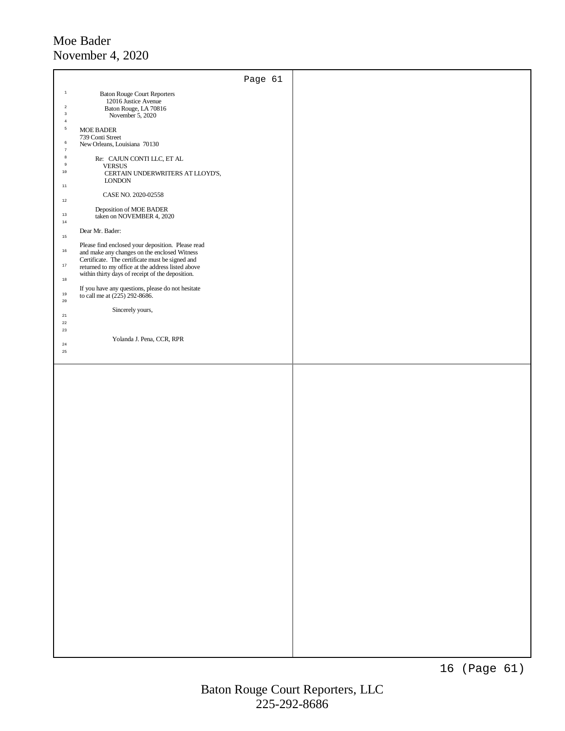|                                      |                                                                                                                                                                                                                                                               | Page 61 |  |
|--------------------------------------|---------------------------------------------------------------------------------------------------------------------------------------------------------------------------------------------------------------------------------------------------------------|---------|--|
| $\,$ 1                               | <b>Baton Rouge Court Reporters</b>                                                                                                                                                                                                                            |         |  |
| $\sqrt{2}$<br>$\,$ 3                 | 12016 Justice Avenue<br>Baton Rouge, LA 70816<br>November 5, 2020                                                                                                                                                                                             |         |  |
| $\,4\,$<br>$\sf 5$                   | <b>MOE BADER</b>                                                                                                                                                                                                                                              |         |  |
| $\sqrt{6}$                           | 739 Conti Street<br>New Orleans, Louisiana 70130                                                                                                                                                                                                              |         |  |
| $\boldsymbol{7}$<br>$^{\rm 8}$       | Re: CAJUN CONTI LLC, ET AL                                                                                                                                                                                                                                    |         |  |
| $\,9$<br>$10\,$                      | <b>VERSUS</b><br>CERTAIN UNDERWRITERS AT LLOYD'S,                                                                                                                                                                                                             |         |  |
| $11\,$                               | $\textsc{LONDON}$                                                                                                                                                                                                                                             |         |  |
| $12\,$                               | CASE NO. 2020-02558                                                                                                                                                                                                                                           |         |  |
| 13<br>$14\,$                         | Deposition of MOE BADER<br>taken on NOVEMBER 4, 2020                                                                                                                                                                                                          |         |  |
| $15\,$                               | Dear Mr. Bader:                                                                                                                                                                                                                                               |         |  |
| $16\,$<br>$17\,$                     | Please find enclosed your deposition. Please read<br>and make any changes on the enclosed Witness<br>Certificate. The certificate must be signed and<br>returned to my office at the address listed above<br>within thirty days of receipt of the deposition. |         |  |
| $_{\rm 18}$<br>$_{\rm 19}$<br>$20\,$ | If you have any questions, please do not hesitate<br>to call me at (225) 292-8686.                                                                                                                                                                            |         |  |
| $^{\rm 21}$                          | Sincerely yours,                                                                                                                                                                                                                                              |         |  |
| $^{\rm 22}$<br>23                    |                                                                                                                                                                                                                                                               |         |  |
| $^{\rm 24}$                          | Yolanda J. Pena, CCR, RPR                                                                                                                                                                                                                                     |         |  |
| $25\,$                               |                                                                                                                                                                                                                                                               |         |  |
|                                      |                                                                                                                                                                                                                                                               |         |  |
|                                      |                                                                                                                                                                                                                                                               |         |  |
|                                      |                                                                                                                                                                                                                                                               |         |  |
|                                      |                                                                                                                                                                                                                                                               |         |  |
|                                      |                                                                                                                                                                                                                                                               |         |  |
|                                      |                                                                                                                                                                                                                                                               |         |  |
|                                      |                                                                                                                                                                                                                                                               |         |  |
|                                      |                                                                                                                                                                                                                                                               |         |  |
|                                      |                                                                                                                                                                                                                                                               |         |  |
|                                      |                                                                                                                                                                                                                                                               |         |  |
|                                      |                                                                                                                                                                                                                                                               |         |  |
|                                      |                                                                                                                                                                                                                                                               |         |  |
|                                      |                                                                                                                                                                                                                                                               |         |  |
|                                      |                                                                                                                                                                                                                                                               |         |  |
|                                      |                                                                                                                                                                                                                                                               |         |  |
|                                      |                                                                                                                                                                                                                                                               |         |  |
|                                      |                                                                                                                                                                                                                                                               |         |  |
|                                      |                                                                                                                                                                                                                                                               |         |  |
|                                      |                                                                                                                                                                                                                                                               |         |  |
|                                      |                                                                                                                                                                                                                                                               |         |  |
|                                      |                                                                                                                                                                                                                                                               |         |  |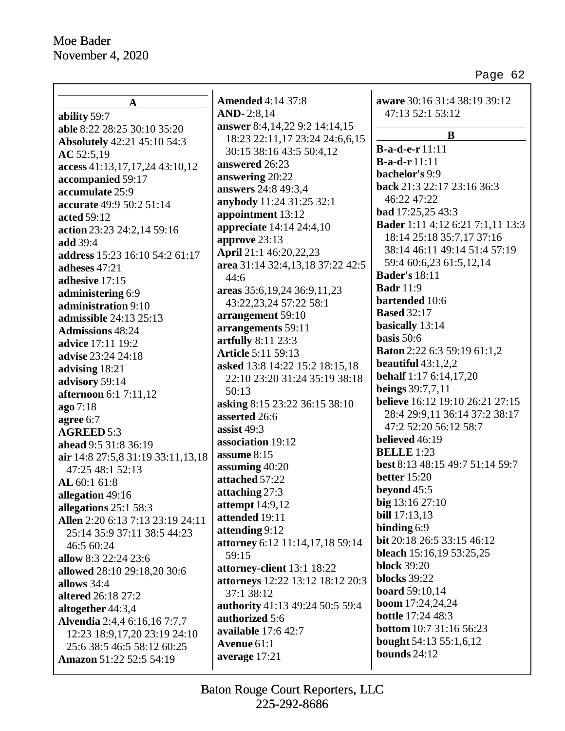| $\mathbf A$                        | <b>Amended 4:14 37:8</b>         | aware 30:16 31:4 38:19 39:12            |
|------------------------------------|----------------------------------|-----------------------------------------|
| ability 59:7                       | <b>AND-2:8,14</b>                | 47:13 52:1 53:12                        |
| able 8:22 28:25 30:10 35:20        | answer 8:4, 14, 22 9:2 14:14, 15 |                                         |
| <b>Absolutely</b> 42:21 45:10 54:3 | 18:23 22:11,17 23:24 24:6,6,15   | B                                       |
| AC 52:5,19                         | 30:15 38:16 43:5 50:4,12         | <b>B-a-d-e-r</b> 11:11                  |
| access 41:13,17,17,24 43:10,12     | answered 26:23                   | $B-a-d-r 11:11$                         |
| accompanied 59:17                  | answering 20:22                  | bachelor's 9:9                          |
| accumulate 25:9                    | answers 24:8 49:3,4              | back 21:3 22:17 23:16 36:3              |
| accurate 49:9 50:2 51:14           | anybody 11:24 31:25 32:1         | 46:22 47:22                             |
| acted 59:12                        | appointment 13:12                | bad 17:25,25 43:3                       |
| action 23:23 24:2,14 59:16         | <b>appreciate</b> 14:14 24:4,10  | <b>Bader</b> 1:11 4:12 6:21 7:1,11 13:3 |
| add 39:4                           | approve 23:13                    | 18:14 25:18 35:7,17 37:16               |
| address 15:23 16:10 54:2 61:17     | April 21:1 46:20,22,23           | 38:14 46:11 49:14 51:4 57:19            |
| adheses 47:21                      | area 31:14 32:4,13,18 37:22 42:5 | 59:4 60:6,23 61:5,12,14                 |
| adhesive 17:15                     | 44:6                             | <b>Bader's 18:11</b>                    |
| administering 6:9                  | areas 35:6, 19, 24 36:9, 11, 23  | <b>Badr</b> 11:9                        |
| administration 9:10                | 43:22,23,24 57:22 58:1           | bartended 10:6                          |
| <b>admissible</b> 24:13 25:13      | arrangement 59:10                | <b>Based 32:17</b>                      |
| <b>Admissions</b> 48:24            | arrangements 59:11               | basically 13:14                         |
| <b>advice</b> 17:11 19:2           | artfully 8:11 23:3               | basis $50:6$                            |
| advise 23:24 24:18                 | <b>Article 5:11 59:13</b>        | <b>Baton</b> 2:22 6:3 59:19 61:1,2      |
| advising 18:21                     | asked 13:8 14:22 15:2 18:15,18   | beautiful $43:1,2,2$                    |
| advisory 59:14                     | 22:10 23:20 31:24 35:19 38:18    | <b>behalf</b> 1:17 6:14,17,20           |
| <b>afternoon</b> 6:1 7:11,12       | 50:13                            | <b>beings</b> 39:7,7,11                 |
| ago 7:18                           | asking 8:15 23:22 36:15 38:10    | believe 16:12 19:10 26:21 27:15         |
| agree 6:7                          | asserted 26:6                    | 28:4 29:9,11 36:14 37:2 38:17           |
| <b>AGREED 5:3</b>                  | assist 49:3                      | 47:2 52:20 56:12 58:7                   |
| ahead 9:5 31:8 36:19               | association 19:12                | believed 46:19                          |
| air 14:8 27:5,8 31:19 33:11,13,18  | assume 8:15                      | <b>BELLE</b> 1:23                       |
| 47:25 48:1 52:13                   | assuming 40:20                   | best 8:13 48:15 49:7 51:14 59:7         |
| AL 60:1 61:8                       | attached 57:22                   | <b>better</b> 15:20                     |
| allegation 49:16                   | attaching 27:3                   | beyond $45:5$                           |
| allegations 25:1 58:3              | attempt $14:9,12$                | big 13:16 27:10                         |
| Allen 2:20 6:13 7:13 23:19 24:11   | attended 19:11                   | bill 17:13,13                           |
| 25:14 35:9 37:11 38:5 44:23        | attending 9:12                   | binding $6:9$                           |
| 46:5 60:24                         | attorney 6:12 11:14,17,18 59:14  | bit 20:18 26:5 33:15 46:12              |
| allow 8:3 22:24 23:6               | 59:15                            | <b>bleach</b> 15:16,19 53:25,25         |
| allowed 28:10 29:18,20 30:6        | attorney-client 13:1 18:22       | <b>block</b> 39:20                      |
| allows 34:4                        | attorneys 12:22 13:12 18:12 20:3 | <b>blocks</b> 39:22                     |
| altered 26:18 27:2                 | 37:1 38:12                       | <b>board</b> 59:10,14                   |
| altogether 44:3,4                  | authority 41:13 49:24 50:5 59:4  | <b>boom</b> 17:24,24,24                 |
| Alvendia 2:4,4 6:16,16 7:7,7       | authorized 5:6                   | <b>bottle</b> 17:24 48:3                |
| 12:23 18:9,17,20 23:19 24:10       | available 17:6 42:7              | <b>bottom</b> 10:7 31:16 56:23          |
| 25:6 38:5 46:5 58:12 60:25         | Avenue 61:1                      | <b>bought</b> 54:13 55:1,6,12           |
| Amazon 51:22 52:5 54:19            | average 17:21                    | bounds $24:12$                          |
|                                    |                                  |                                         |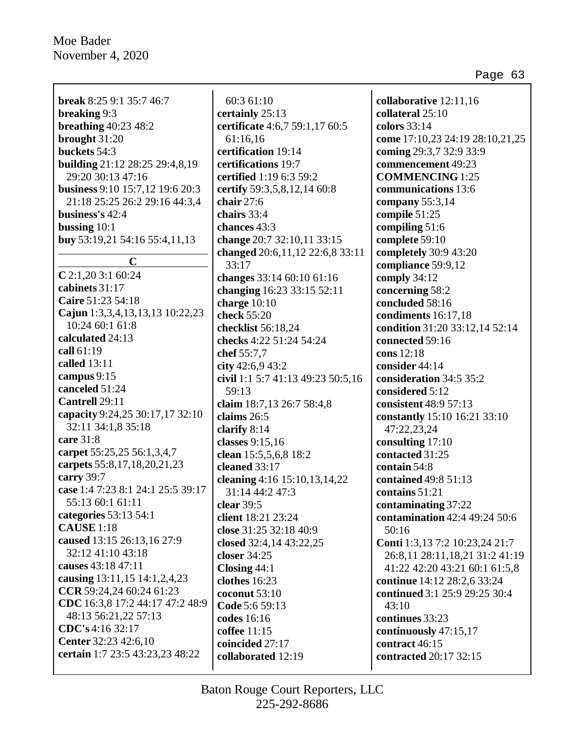| <b>break</b> 8:25 9:1 35:7 46:7                    | 60:3 61:10                                  | collaborative 12:11,16          |
|----------------------------------------------------|---------------------------------------------|---------------------------------|
| breaking 9:3                                       | certainly 25:13                             | collateral 25:10                |
| breathing $40:23$ $48:2$                           | certificate 4:6,7 59:1,17 60:5              | colors 33:14                    |
| brought 31:20                                      | 61:16,16                                    | come 17:10,23 24:19 28:10,21,25 |
| buckets 54:3                                       | certification 19:14                         | coming 29:3,7 32:9 33:9         |
| <b>building</b> 21:12 28:25 29:4,8,19              | certifications 19:7                         | commencement 49:23              |
| 29:20 30:13 47:16                                  | certified 1:19 6:3 59:2                     | <b>COMMENCING</b> 1:25          |
| business 9:10 15:7,12 19:6 20:3                    |                                             | communications 13:6             |
|                                                    | certify 59:3,5,8,12,14 60:8<br>chair $27:6$ |                                 |
| 21:18 25:25 26:2 29:16 44:3,4<br>business's 42:4   | chairs 33:4                                 | company $55:3,14$               |
|                                                    | chances 43:3                                | compile 51:25                   |
| bussing $10:1$                                     |                                             | compiling 51:6                  |
| buy 53:19,21 54:16 55:4,11,13                      | change 20:7 32:10,11 33:15                  | complete 59:10                  |
| $\mathbf C$                                        | changed 20:6,11,12 22:6,8 33:11             | completely 30:9 43:20           |
| $C$ 2:1,20 3:1 60:24                               | 33:17                                       | compliance 59:9,12              |
| cabinets 31:17                                     | changes 33:14 60:10 61:16                   | comply 34:12                    |
| Caire 51:23 54:18                                  | changing 16:23 33:15 52:11                  | concerning 58:2                 |
|                                                    | charge $10:10$                              | concluded 58:16                 |
| Cajun 1:3,3,4,13,13,13 10:22,23<br>10:24 60:1 61:8 | check 55:20                                 | condiments 16:17,18             |
| calculated 24:13                                   | checklist 56:18,24                          | condition 31:20 33:12,14 52:14  |
|                                                    | checks 4:22 51:24 54:24                     | connected 59:16                 |
| call 61:19                                         | chef 55:7,7                                 | cons 12:18                      |
| called 13:11                                       | city $42:6,943:2$                           | consider 44:14                  |
| campus 9:15                                        | civil 1:1 5:7 41:13 49:23 50:5,16           | consideration 34:5 35:2         |
| canceled 51:24                                     | 59:13                                       | considered 5:12                 |
| Cantrell 29:11                                     | claim 18:7,13 26:7 58:4,8                   | consistent 48:9 57:13           |
| capacity 9:24,25 30:17,17 32:10                    | claims 26:5                                 | constantly 15:10 16:21 33:10    |
| 32:11 34:1,8 35:18                                 | clarify $8:14$                              | 47:22,23,24                     |
| care 31:8                                          | classes 9:15,16                             | consulting 17:10                |
| carpet 55:25,25 56:1,3,4,7                         | clean 15:5,5,6,8 18:2                       | contacted 31:25                 |
| carpets 55:8, 17, 18, 20, 21, 23                   | cleaned 33:17                               | contain 54:8                    |
| carry 39:7                                         | cleaning 4:16 15:10, 13, 14, 22             | contained 49:8 51:13            |
| case 1:4 7:23 8:1 24:1 25:5 39:17                  | 31:14 44:2 47:3                             | contains 51:21                  |
| 55:13 60:1 61:11                                   | clear $39:5$                                | contaminating 37:22             |
| categories 53:13 54:1                              | client 18:21 23:24                          | contamination 42:4 49:24 50:6   |
| <b>CAUSE</b> 1:18                                  | close 31:25 32:18 40:9                      | 50:16                           |
| caused 13:15 26:13,16 27:9                         | closed 32:4,14 43:22,25                     | Conti 1:3,13 7:2 10:23,24 21:7  |
| 32:12 41:10 43:18                                  | closer 34:25                                | 26:8,11 28:11,18,21 31:2 41:19  |
| causes 43:18 47:11                                 | Closing 44:1                                | 41:22 42:20 43:21 60:1 61:5,8   |
| causing 13:11,15 14:1,2,4,23                       | clothes 16:23                               | continue 14:12 28:2,6 33:24     |
| CCR 59:24,24 60:24 61:23                           | coconut $53:10$                             | continued 3:1 25:9 29:25 30:4   |
| CDC 16:3,8 17:2 44:17 47:2 48:9                    | Code 5:6 59:13                              | 43:10                           |
| 48:13 56:21,22 57:13                               | codes 16:16                                 | continues 33:23                 |
| CDC's 4:16 32:17                                   | coffee 11:15                                | continuously 47:15,17           |
| Center 32:23 42:6,10                               | coincided 27:17                             | contract 46:15                  |
| certain 1:7 23:5 43:23,23 48:22                    | collaborated 12:19                          | contracted 20:17 32:15          |
|                                                    |                                             |                                 |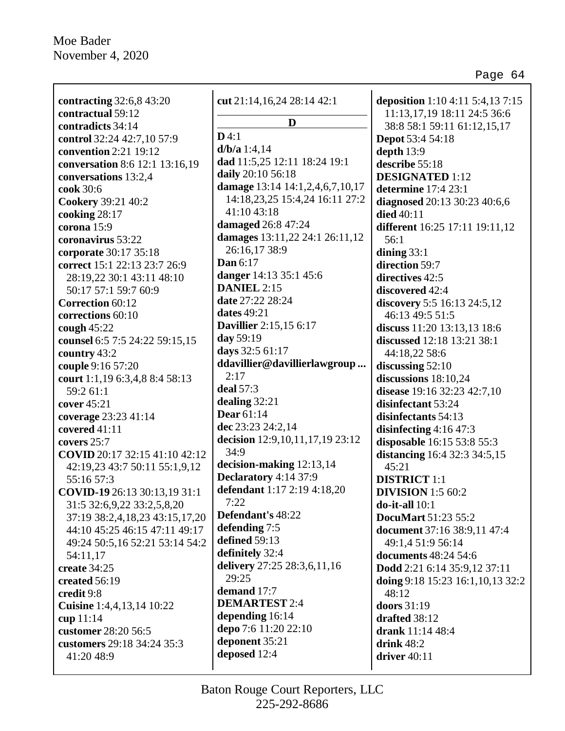| contracting 32:6,8 43:20             | cut $21:14,16,24$ $28:14$ $42:1$ | deposition 1:10 4:11 5:4,13 7:15   |
|--------------------------------------|----------------------------------|------------------------------------|
| contractual 59:12                    |                                  | 11:13, 17, 19 18:11 24:5 36:6      |
| contradicts 34:14                    | D                                | 38:8 58:1 59:11 61:12,15,17        |
| control 32:24 42:7,10 57:9           | D4:1                             | <b>Depot</b> 53:4 54:18            |
| convention 2:21 19:12                | $d/b/a$ 1:4,14                   | depth 13:9                         |
| conversation 8:6 12:1 13:16,19       | dad 11:5,25 12:11 18:24 19:1     | describe 55:18                     |
| conversations 13:2,4                 | daily 20:10 56:18                | <b>DESIGNATED</b> 1:12             |
| cook 30:6                            | damage 13:14 14:1,2,4,6,7,10,17  | determine 17:4 23:1                |
| <b>Cookery 39:21 40:2</b>            | 14:18,23,25 15:4,24 16:11 27:2   | diagnosed 20:13 30:23 40:6,6       |
| cooking 28:17                        | 41:10 43:18                      | died 40:11                         |
| corona 15:9                          | damaged 26:8 47:24               | different 16:25 17:11 19:11,12     |
| coronavirus 53:22                    | damages 13:11,22 24:1 26:11,12   | 56:1                               |
| corporate 30:17 35:18                | 26:16,17 38:9                    | dining $33:1$                      |
| correct 15:1 22:13 23:7 26:9         | Dan 6:17                         | direction 59:7                     |
| 28:19,22 30:1 43:11 48:10            | danger 14:13 35:1 45:6           | directives 42:5                    |
| 50:17 57:1 59:7 60:9                 | <b>DANIEL 2:15</b>               | discovered 42:4                    |
| <b>Correction 60:12</b>              | date 27:22 28:24                 | discovery 5:5 16:13 24:5,12        |
| corrections 60:10                    | dates $49:21$                    | 46:13 49:5 51:5                    |
| cough $45:22$                        | <b>Davillier</b> 2:15,15 6:17    | discuss 11:20 13:13,13 18:6        |
| counsel 6:5 7:5 24:22 59:15,15       | day 59:19                        | discussed 12:18 13:21 38:1         |
| country 43:2                         | days 32:5 61:17                  | 44:18,22 58:6                      |
| couple 9:16 57:20                    | ddavillier@davillierlawgroup     | discussing $52:10$                 |
| court 1:1,19 6:3,4,8 8:4 58:13       | 2:17                             | discussions $18:10,24$             |
| 59:2 61:1                            | deal 57:3                        | disease 19:16 32:23 42:7,10        |
| cover 45:21                          | dealing 32:21                    | disinfectant 53:24                 |
| coverage 23:23 41:14                 | <b>Dear</b> 61:14                | disinfectants 54:13                |
| covered 41:11                        | dec 23:23 24:2,14                | disinfecting $4:16\,47:3$          |
| covers 25:7                          | decision 12:9,10,11,17,19 23:12  | disposable 16:15 53:8 55:3         |
| <b>COVID</b> 20:17 32:15 41:10 42:12 | 34:9                             | distancing 16:4 32:3 34:5,15       |
| 42:19,23 43:7 50:11 55:1,9,12        | decision-making 12:13,14         | 45:21                              |
| 55:16 57:3                           | Declaratory 4:14 37:9            | <b>DISTRICT</b> 1:1                |
| COVID-19 26:13 30:13,19 31:1         | defendant 1:17 2:19 4:18,20      | <b>DIVISION</b> 1:5 60:2           |
| 31:5 32:6, 9, 22 33:2, 5, 8, 20      | 7:22                             | $do-it-all 10:1$                   |
| 37:19 38:2,4,18,23 43:15,17,20       | Defendant's 48:22                | <b>DocuMart</b> 51:23 55:2         |
| 44:10 45:25 46:15 47:11 49:17        | defending 7:5                    | document 37:16 38:9,11 47:4        |
| 49:24 50:5,16 52:21 53:14 54:2       | defined 59:13                    | 49:1,4 51:9 56:14                  |
| 54:11,17                             | definitely 32:4                  | documents 48:24 54:6               |
| create 34:25                         | delivery 27:25 28:3,6,11,16      | Dodd 2:21 6:14 35:9,12 37:11       |
| created 56:19                        | 29:25                            | doing 9:18 15:23 16:1, 10, 13 32:2 |
| credit 9:8                           | demand 17:7                      | 48:12                              |
| Cuisine 1:4,4,13,14 10:22            | <b>DEMARTEST 2:4</b>             | doors 31:19                        |
| cup 11:14                            | depending 16:14                  | drafted 38:12                      |
| customer 28:20 56:5                  | depo 7:6 11:20 22:10             | drank 11:14 48:4                   |
| customers 29:18 34:24 35:3           | deponent 35:21                   | drink $48:2$                       |
| 41:20 48:9                           | deposed 12:4                     | driver $40:11$                     |
|                                      |                                  |                                    |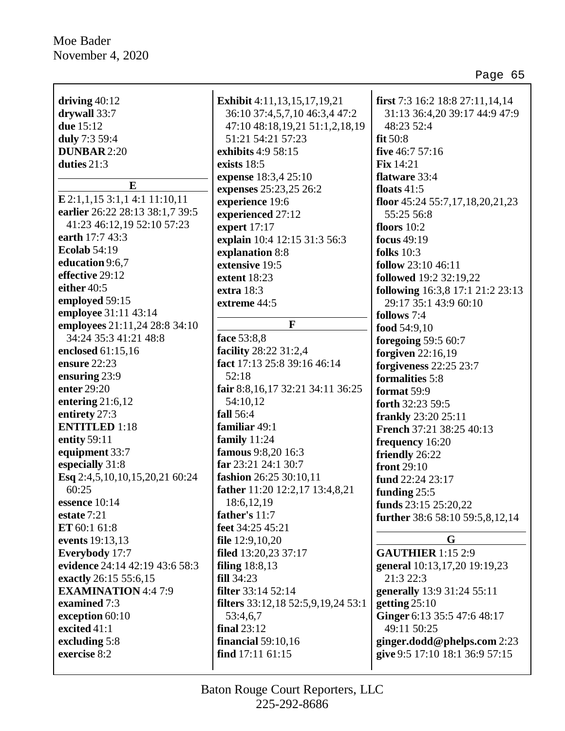| driving $40:12$                            | <b>Exhibit</b> 4:11,13,15,17,19,21        | first 7:3 16:2 18:8 27:11,14,14                               |
|--------------------------------------------|-------------------------------------------|---------------------------------------------------------------|
| drywall 33:7                               | 36:10 37:4,5,7,10 46:3,4 47:2             | 31:13 36:4,20 39:17 44:9 47:9                                 |
| due 15:12                                  | 47:10 48:18,19,21 51:1,2,18,19            | 48:23 52:4                                                    |
| duly 7:3 59:4                              | 51:21 54:21 57:23                         | fit $50:8$                                                    |
| <b>DUNBAR 2:20</b>                         | exhibits 4:9 58:15                        | five 46:7 57:16                                               |
| duties $21:3$                              | exists 18:5                               | <b>Fix</b> 14:21                                              |
|                                            | expense 18:3,4 25:10                      | flatware 33:4                                                 |
| E                                          | expenses 25:23,25 26:2                    | floats $41:5$                                                 |
| $E$ 2:1,1,15 3:1,1 4:1 11:10,11            | experience 19:6                           | floor $45:2455:7,17,18,20,21,23$                              |
| earlier 26:22 28:13 38:1,7 39:5            | experienced 27:12                         | 55:25 56:8                                                    |
| 41:23 46:12,19 52:10 57:23                 | expert 17:17                              | floors $10:2$                                                 |
| earth 17:7 43:3                            | explain 10:4 12:15 31:3 56:3              | focus 49:19                                                   |
| <b>Ecolab 54:19</b>                        | explanation 8:8                           | folks $10:3$                                                  |
| education 9:6,7                            | extensive 19:5                            | follow 23:10 46:11                                            |
| effective 29:12                            | extent 18:23                              | followed 19:2 32:19,22                                        |
| either 40:5                                | extra 18:3                                | following 16:3,8 17:1 21:2 23:13                              |
| employed 59:15                             | extreme 44:5                              | 29:17 35:1 43:9 60:10                                         |
| employee 31:11 43:14                       |                                           | follows 7:4                                                   |
| employees 21:11,24 28:8 34:10              | $\mathbf{F}$                              |                                                               |
| 34:24 35:3 41:21 48:8                      | face 53:8,8                               | food $54:9,10$                                                |
| enclosed 61:15,16                          | facility 28:22 31:2,4                     | foregoing 59:5 60:7                                           |
| ensure 22:23                               | fact 17:13 25:8 39:16 46:14               | forgiven $22:16,19$                                           |
| ensuring 23:9                              | 52:18                                     | forgiveness 22:25 23:7                                        |
| enter 29:20                                | fair 8:8, 16, 17 32:21 34:11 36:25        | formalities 5:8                                               |
| entering $21:6,12$                         | 54:10,12                                  | format 59:9                                                   |
| entirety 27:3                              | fall 56:4                                 | forth 32:23 59:5                                              |
| <b>ENTITLED</b> 1:18                       | familiar 49:1                             | <b>frankly</b> 23:20 25:11                                    |
| entity 59:11                               | family 11:24                              | French 37:21 38:25 40:13                                      |
| equipment 33:7                             | famous 9:8,20 16:3                        | frequency 16:20                                               |
| especially 31:8                            | far 23:21 24:1 30:7                       | friendly 26:22                                                |
| Esq 2:4,5,10,10,15,20,21 60:24             | fashion 26:25 30:10,11                    | front 29:10                                                   |
| 60:25                                      | father 11:20 12:2,17 13:4,8,21            | fund 22:24 23:17                                              |
| essence 10:14                              | 18:6,12,19                                | funding $25:5$                                                |
| estate 7:21                                | father's 11:7                             | funds 23:15 25:20,22                                          |
| ET 60:1 61:8                               | feet 34:25 45:21                          | further 38:6 58:10 59:5,8,12,14                               |
| events 19:13,13                            | file $12:9,10,20$                         | G                                                             |
| Everybody 17:7                             | filed 13:20,23 37:17                      | <b>GAUTHIER</b> 1:15 2:9                                      |
| evidence 24:14 42:19 43:6 58:3             | filing $18:8,13$                          | general 10:13,17,20 19:19,23                                  |
| exactly 26:15 55:6,15                      | <b>fill</b> 34:23                         | 21:3 22:3                                                     |
|                                            | filter 33:14 52:14                        |                                                               |
| <b>EXAMINATION</b> 4:4 7:9<br>examined 7:3 | <b>filters</b> 33:12,18 52:5,9,19,24 53:1 | generally 13:9 31:24 55:11<br>getting $25:10$                 |
|                                            |                                           | Ginger 6:13 35:5 47:6 48:17                                   |
| exception 60:10<br>excited 41:1            | 53:4,6,7<br><b>final</b> 23:12            | 49:11 50:25                                                   |
|                                            |                                           |                                                               |
| excluding 5:8<br>exercise 8:2              | financial $59:10,16$<br>find 17:11 61:15  | ginger.dodd@phelps.com 2:23<br>give 9:5 17:10 18:1 36:9 57:15 |
|                                            |                                           |                                                               |
|                                            |                                           |                                                               |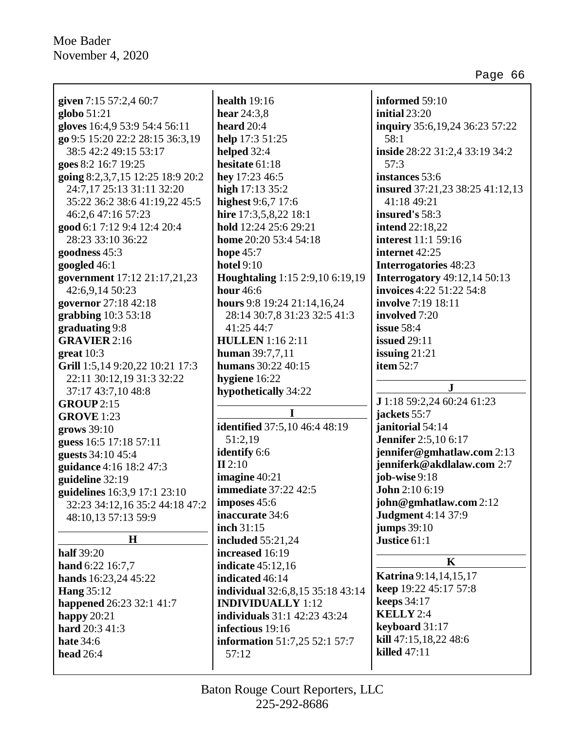Ē

|                                  | health $19:16$                       | informed 59:10                      |
|----------------------------------|--------------------------------------|-------------------------------------|
| given 7:15 57:2,4 60:7           |                                      | initial 23:20                       |
| globo 51:21                      | hear $24:3,8$                        |                                     |
| gloves 16:4,9 53:9 54:4 56:11    | heard $20:4$                         | inquiry 35:6,19,24 36:23 57:22      |
| go 9:5 15:20 22:2 28:15 36:3,19  | help 17:3 51:25                      | 58:1                                |
| 38:5 42:2 49:15 53:17            | helped 32:4                          | inside 28:22 31:2,4 33:19 34:2      |
| goes 8:2 16:7 19:25              | hesitate 61:18                       | 57:3                                |
| going 8:2,3,7,15 12:25 18:9 20:2 | hey 17:23 46:5                       | instances 53:6                      |
| 24:7,17 25:13 31:11 32:20        | high 17:13 35:2                      | insured 37:21,23 38:25 41:12,13     |
| 35:22 36:2 38:6 41:19,22 45:5    | highest 9:6,7 17:6                   | 41:18 49:21                         |
| 46:2,6 47:16 57:23               | hire 17:3,5,8,22 18:1                | insured's 58:3                      |
| good 6:1 7:12 9:4 12:4 20:4      | hold 12:24 25:6 29:21                | <b>intend</b> 22:18,22              |
| 28:23 33:10 36:22                | home 20:20 53:4 54:18                | <b>interest</b> 11:1 59:16          |
| goodness 45:3                    | hope $45:7$                          | internet 42:25                      |
| googled 46:1                     | <b>hotel 9:10</b>                    | <b>Interrogatories</b> 48:23        |
| government 17:12 21:17,21,23     | Houghtaling 1:15 2:9,10 6:19,19      | <b>Interrogatory</b> 49:12,14 50:13 |
| 42:6,9,14 50:23                  | <b>hour</b> 46:6                     | invoices 4:22 51:22 54:8            |
| governor 27:18 42:18             | hours 9:8 19:24 21:14,16,24          | <b>involve</b> 7:19 18:11           |
| grabbing $10:353:18$             | 28:14 30:7,8 31:23 32:5 41:3         | involved 7:20                       |
| graduating 9:8                   | 41:25 44:7                           | issue 58:4                          |
| <b>GRAVIER</b> 2:16              | <b>HULLEN</b> 1:16 2:11              | <b>issued</b> 29:11                 |
| great $10:3$                     | human 39:7,7,11                      | issuing $21:21$                     |
| Grill 1:5,14 9:20,22 10:21 17:3  | humans 30:22 40:15                   | item 52:7                           |
| 22:11 30:12,19 31:3 32:22        | hygiene 16:22                        |                                     |
|                                  |                                      |                                     |
| 37:17 43:7,10 48:8               | hypothetically 34:22                 | ${\bf J}$                           |
| <b>GROUP</b> 2:15                |                                      | J 1:18 59:2,24 60:24 61:23          |
| <b>GROVE</b> 1:23                | I                                    | jackets 55:7                        |
| grows 39:10                      | <b>identified</b> 37:5,10 46:4 48:19 | janitorial 54:14                    |
| guess 16:5 17:18 57:11           | 51:2,19                              | <b>Jennifer</b> 2:5,10 6:17         |
| guests 34:10 45:4                | identify 6:6                         | jennifer@gmhatlaw.com 2:13          |
| guidance 4:16 18:2 47:3          | II 2:10                              | jenniferk@akdlalaw.com 2:7          |
| guideline 32:19                  | imagine 40:21                        | job-wise $9:18$                     |
| guidelines 16:3,9 17:1 23:10     | <b>immediate</b> 37:22 42:5          | John 2:10 6:19                      |
| 32:23 34:12,16 35:2 44:18 47:2   | imposes $45:6$                       | john@gmhatlaw.com 2:12              |
| 48:10,13 57:13 59:9              | inaccurate 34:6                      | <b>Judgment</b> 4:14 37:9           |
|                                  | inch 31:15                           | <b>jumps</b> 39:10                  |
| H                                | <b>included</b> 55:21,24             | Justice 61:1                        |
| <b>half</b> 39:20                | increased 16:19                      |                                     |
| hand 6:22 16:7,7                 | <b>indicate</b> 45:12,16             | K                                   |
| hands 16:23,24 45:22             | indicated 46:14                      | Katrina 9:14, 14, 15, 17            |
| <b>Hang 35:12</b>                | individual 32:6,8,15 35:18 43:14     | keep 19:22 45:17 57:8               |
| happened 26:23 32:1 41:7         | <b>INDIVIDUALLY</b> 1:12             | <b>keeps</b> 34:17                  |
| happy $20:21$                    | <b>individuals</b> 31:1 42:23 43:24  | <b>KELLY</b> 2:4                    |
| hard 20:3 41:3                   | infectious 19:16                     | keyboard 31:17                      |
| <b>hate</b> 34:6                 | information 51:7,25 52:1 57:7        | kill 47:15,18,22 48:6               |
| <b>head</b> 26:4                 | 57:12                                | <b>killed</b> 47:11                 |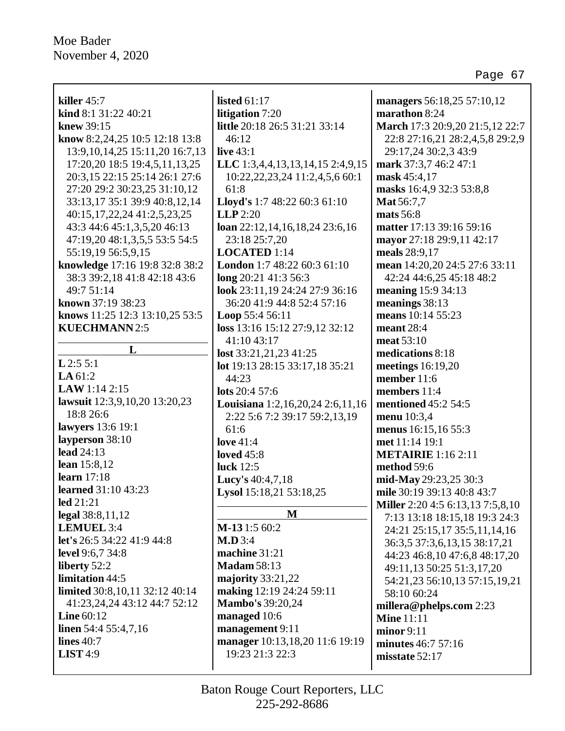| killer $45:7$                       | listed $61:17$                       | managers 56:18,25 57:10,12               |
|-------------------------------------|--------------------------------------|------------------------------------------|
| kind 8:1 31:22 40:21                | litigation 7:20                      | marathon 8:24                            |
|                                     |                                      |                                          |
| knew 39:15                          | little 20:18 26:5 31:21 33:14        | March 17:3 20:9,20 21:5,12 22:7          |
| know 8:2,24,25 10:5 12:18 13:8      | 46:12                                | 22:8 27:16,21 28:2,4,5,8 29:2,9          |
| 13:9, 10, 14, 25 15:11, 20 16:7, 13 | live $43:1$                          | 29:17,24 30:2,3 43:9                     |
| 17:20,20 18:5 19:4,5,11,13,25       | LLC 1:3,4,4,13,13,14,15 2:4,9,15     | mark 37:3,7 46:2 47:1                    |
| 20:3,15 22:15 25:14 26:1 27:6       | 10:22, 22, 23, 24 11:2, 4, 5, 6 60:1 | mask 45:4,17                             |
| 27:20 29:2 30:23,25 31:10,12        | 61:8                                 | masks 16:4,9 32:3 53:8,8                 |
| 33:13,17 35:1 39:9 40:8,12,14       | Lloyd's 1:7 48:22 60:3 61:10         | Mat 56:7,7                               |
| 40:15, 17, 22, 24 41: 2, 5, 23, 25  | $LLP$ 2:20                           | mats 56:8                                |
| 43:3 44:6 45:1,3,5,20 46:13         | loan 22:12,14,16,18,24 23:6,16       | matter 17:13 39:16 59:16                 |
| 47:19,20 48:1,3,5,5 53:5 54:5       | 23:18 25:7,20                        | mayor 27:18 29:9,11 42:17                |
| 55:19,19 56:5,9,15                  | LOCATED 1:14                         | meals 28:9,17                            |
| knowledge 17:16 19:8 32:8 38:2      | London 1:7 48:22 60:3 61:10          | mean 14:20,20 24:5 27:6 33:11            |
| 38:3 39:2,18 41:8 42:18 43:6        | long 20:21 41:3 56:3                 | 42:24 44:6,25 45:18 48:2                 |
| 49:7 51:14                          | look 23:11,19 24:24 27:9 36:16       | meaning 15:9 34:13                       |
| known 37:19 38:23                   | 36:20 41:9 44:8 52:4 57:16           | meanings 38:13                           |
| knows 11:25 12:3 13:10,25 53:5      | Loop 55:4 56:11                      | means 10:14 55:23                        |
| <b>KUECHMANN</b> 2:5                | loss 13:16 15:12 27:9,12 32:12       | meant $28:4$                             |
|                                     | 41:10 43:17                          | meat 53:10                               |
| L                                   | lost 33:21,21,23 41:25               | medications 8:18                         |
| $L$ 2:5 5:1                         | lot 19:13 28:15 33:17,18 35:21       | meetings $16:19,20$                      |
| LA $61:2$                           | 44:23                                | member 11:6                              |
| LAW 1:14 2:15                       | lots 20:4 57:6                       | members 11:4                             |
| lawsuit 12:3,9,10,20 13:20,23       | Louisiana 1:2,16,20,24 2:6,11,16     | mentioned 45:2 54:5                      |
| 18:8 26:6                           | 2:22 5:6 7:2 39:17 59:2,13,19        | menu 10:3,4                              |
| lawyers 13:6 19:1                   | 61:6                                 | menus 16:15,16 55:3                      |
| layperson 38:10                     | love $41:4$                          | met 11:14 19:1                           |
| lead 24:13                          | <b>loved</b> 45:8                    |                                          |
| lean 15:8,12                        | luck 12:5                            | <b>METAIRIE</b> 1:16 2:11<br>method 59:6 |
| learn $17:18$                       |                                      |                                          |
| <b>learned</b> 31:10 43:23          | Lucy's 40:4,7,18                     | mid-May 29:23,25 30:3                    |
| led 21:21                           | Lysol 15:18,21 53:18,25              | mile 30:19 39:13 40:8 43:7               |
| legal 38:8,11,12                    | M                                    | Miller 2:20 4:5 6:13,13 7:5,8,10         |
| LEMUEL 3:4                          | M-131:5 60:2                         | 7:13 13:18 18:15,18 19:3 24:3            |
| let's 26:5 34:22 41:9 44:8          | M.D.3:4                              | 24:21 25:15,17 35:5,11,14,16             |
| level 9:6,7 34:8                    | machine 31:21                        | 36:3,5 37:3,6,13,15 38:17,21             |
|                                     |                                      | 44:23 46:8,10 47:6,8 48:17,20            |
| liberty 52:2                        | <b>Madam 58:13</b>                   | 49:11,13 50:25 51:3,17,20                |
| limitation 44:5                     | majority $33:21,22$                  | 54:21,23 56:10,13 57:15,19,21            |
| limited 30:8, 10, 11 32:12 40:14    | making 12:19 24:24 59:11             | 58:10 60:24                              |
| 41:23,24,24 43:12 44:7 52:12        | <b>Mambo's 39:20,24</b>              | millera@phelps.com 2:23                  |
| Line $60:12$                        | managed 10:6                         | <b>Mine</b> 11:11                        |
| linen 54:4 55:4,7,16                | management 9:11                      | minor 9:11                               |
| lines $40:7$                        | manager 10:13,18,20 11:6 19:19       | minutes 46:7 57:16                       |
| <b>LIST</b> 4:9                     | 19:23 21:3 22:3                      | misstate 52:17                           |
|                                     |                                      |                                          |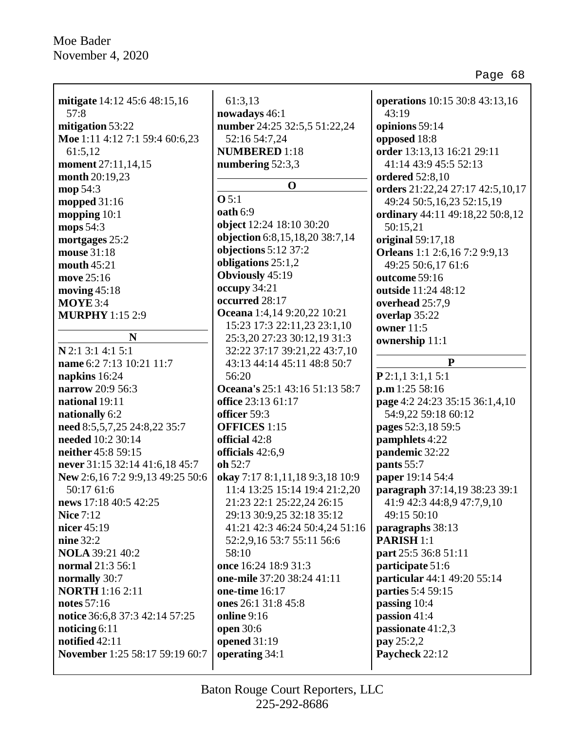| mitigate 14:12 45:6 48:15,16       | 61:3,13                         | operations 10:15 30:8 43:13,16   |
|------------------------------------|---------------------------------|----------------------------------|
| 57:8                               | nowadays 46:1                   | 43:19                            |
| mitigation 53:22                   | number 24:25 32:5,5 51:22,24    | opinions 59:14                   |
| Moe 1:11 4:12 7:1 59:4 60:6,23     | 52:16 54:7,24                   | opposed 18:8                     |
| 61:5,12                            | <b>NUMBERED</b> 1:18            | order 13:13,13 16:21 29:11       |
| moment 27:11,14,15                 | numbering 52:3,3                | 41:14 43:9 45:5 52:13            |
| month 20:19,23                     | $\mathbf 0$                     | <b>ordered</b> 52:8,10           |
| mop 54:3                           | O <sub>5:1</sub>                | orders 21:22,24 27:17 42:5,10,17 |
| mopped $31:16$                     | oath 6:9                        | 49:24 50:5,16,23 52:15,19        |
| mopping $10:1$                     |                                 | ordinary 44:11 49:18,22 50:8,12  |
| mops 54:3                          | object 12:24 18:10 30:20        | 50:15,21                         |
| mortgages 25:2                     | objection 6:8,15,18,20 38:7,14  | original 59:17,18                |
| mouse 31:18                        | objections 5:12 37:2            | Orleans 1:1 2:6,16 7:2 9:9,13    |
| mouth $45:21$                      | obligations $25:1,2$            | 49:25 50:6,17 61:6               |
| move 25:16                         | <b>Obviously 45:19</b>          | outcome 59:16                    |
| moving $45:18$                     | occupy 34:21                    | outside 11:24 48:12              |
| $MOYE$ 3:4                         | occurred 28:17                  | overhead 25:7,9                  |
| <b>MURPHY</b> 1:15 2:9             | Oceana 1:4,14 9:20,22 10:21     | overlap 35:22                    |
|                                    | 15:23 17:3 22:11,23 23:1,10     | owner 11:5                       |
| N                                  | 25:3,20 27:23 30:12,19 31:3     | ownership 11:1                   |
| N 2:1 3:1 4:1 5:1                  | 32:22 37:17 39:21,22 43:7,10    | $\mathbf{P}$                     |
| name 6:2 7:13 10:21 11:7           | 43:13 44:14 45:11 48:8 50:7     |                                  |
| napkins 16:24                      | 56:20                           | P2:1,13:1,15:1                   |
| narrow 20:9 56:3                   | Oceana's 25:1 43:16 51:13 58:7  | p.m 1:25 58:16                   |
| national 19:11                     | office 23:13 61:17              | page 4:2 24:23 35:15 36:1,4,10   |
| nationally 6:2                     | officer 59:3                    | 54:9,22 59:18 60:12              |
| need 8:5,5,7,25 24:8,22 35:7       | <b>OFFICES</b> 1:15             | pages 52:3,18 59:5               |
| needed 10:2 30:14                  | official 42:8                   | pamphlets 4:22                   |
| neither 45:8 59:15                 | officials 42:6,9                | pandemic 32:22                   |
| never 31:15 32:14 41:6,18 45:7     | oh 52:7                         | pants 55:7                       |
| New 2:6, 16 7:2 9:9, 13 49:25 50:6 | okay 7:17 8:1,11,18 9:3,18 10:9 | paper 19:14 54:4                 |
| 50:17 61:6                         | 11:4 13:25 15:14 19:4 21:2,20   | paragraph 37:14,19 38:23 39:1    |
| news 17:18 40:5 42:25              | 21:23 22:1 25:22,24 26:15       | 41:9 42:3 44:8,9 47:7,9,10       |
| <b>Nice 7:12</b>                   | 29:13 30:9,25 32:18 35:12       | 49:15 50:10                      |
| nicer 45:19                        | 41:21 42:3 46:24 50:4,24 51:16  | paragraphs 38:13                 |
| nine 32:2                          | 52:2,9,16 53:7 55:11 56:6       | <b>PARISH 1:1</b>                |
| <b>NOLA</b> 39:21 40:2             | 58:10                           | part 25:5 36:8 51:11             |
| normal 21:3 56:1                   | once 16:24 18:9 31:3            | participate 51:6                 |
| normally 30:7                      | one-mile 37:20 38:24 41:11      | particular 44:1 49:20 55:14      |
| <b>NORTH</b> 1:16 2:11             | one-time 16:17                  | parties 5:4 59:15                |
| notes 57:16                        | ones 26:1 31:8 45:8             | passing 10:4                     |
| notice 36:6,8 37:3 42:14 57:25     | <b>online</b> 9:16              | passion 41:4                     |
| noticing $6:11$                    | open 30:6                       | passionate 41:2,3                |
| notified 42:11                     | opened 31:19                    | pay 25:2,2                       |
| November 1:25 58:17 59:19 60:7     | operating 34:1                  | Paycheck 22:12                   |
|                                    |                                 |                                  |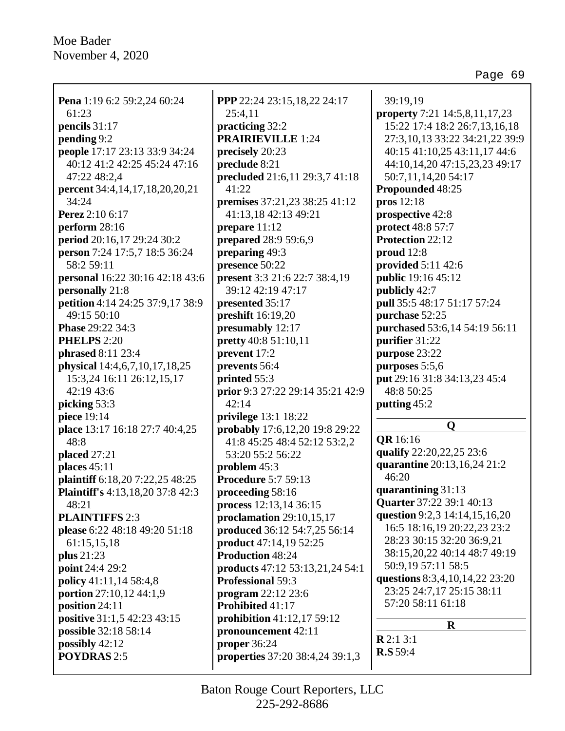**Pena** 1:19 6:2 59:2,24 60:24 61:23 **pencils** 31:17 **pending** 9:2 **people** 17:17 23:13 33:9 34:24 40:12 41:2 42:25 45:24 47:16 47:22 48:2,4 **percent** 34:4,14,17,18,20,20,21 34:24 **Perez** 2:10 6:17 **perform** 28:16 **period** 20:16,17 29:24 30:2 **person** 7:24 17:5,7 18:5 36:24 58:2 59:11 **personal** 16:22 30:16 42:18 43:6 **personally** 21:8 **petition** 4:14 24:25 37:9,17 38:9 49:15 50:10 **Phase** 29:22 34:3 **PHELPS** 2:20 **phrased** 8:11 23:4 **physical** 14:4,6,7,10,17,18,25 15:3,24 16:11 26:12,15,17 42:19 43:6 **picking** 53:3 **piece** 19:14 **place** 13:17 16:18 27:7 40:4,25 48:8 **placed** 27:21 **places** 45:11 **plaintiff** 6:18,20 7:22,25 48:25 **Plaintiff's** 4:13,18,20 37:8 42:3 48:21 **PLAINTIFFS** 2:3 **please** 6:22 48:18 49:20 51:18 61:15,15,18 **plus** 21:23 **point** 24:4 29:2 **policy** 41:11,14 58:4,8 **portion** 27:10,12 44:1,9 **position** 24:11 **positive** 31:1,5 42:23 43:15 **possible** 32:18 58:14 **possibly** 42:12 **POYDRAS** 2:5

**PPP** 22:24 23:15,18,22 24:17 25:4,11 **practicing** 32:2 **PRAIRIEVILLE** 1:24 **precisely** 20:23 **preclude** 8:21 **precluded** 21:6,11 29:3,7 41:18 41:22 **premises** 37:21,23 38:25 41:12 41:13,18 42:13 49:21 **prepare** 11:12 **prepared** 28:9 59:6,9 **preparing** 49:3 **presence** 50:22 **present** 3:3 21:6 22:7 38:4,19 39:12 42:19 47:17 **presented** 35:17 **preshift** 16:19,20 **presumably** 12:17 **pretty** 40:8 51:10,11 **prevent** 17:2 **prevents** 56:4 **printed** 55:3 **prior** 9:3 27:22 29:14 35:21 42:9 42:14 **privilege** 13:1 18:22 **probably** 17:6,12,20 19:8 29:22 41:8 45:25 48:4 52:12 53:2,2 53:20 55:2 56:22 **problem** 45:3 **Procedure** 5:7 59:13 **proceeding** 58:16 **process** 12:13,14 36:15 **proclamation** 29:10,15,17 **produced** 36:12 54:7,25 56:14 **product** 47:14,19 52:25 **Production** 48:24 **products** 47:12 53:13,21,24 54:1 **Professional** 59:3 **program** 22:12 23:6 **Prohibited** 41:17 **prohibition** 41:12,17 59:12 **pronouncement** 42:11 **proper** 36:24 **properties** 37:20 38:4,24 39:1,3

39:19,19 **property** 7:21 14:5,8,11,17,23 15:22 17:4 18:2 26:7,13,16,18 27:3,10,13 33:22 34:21,22 39:9 40:15 41:10,25 43:11,17 44:6 44:10,14,20 47:15,23,23 49:17 50:7,11,14,20 54:17 **Propounded** 48:25 **pros** 12:18 **prospective** 42:8 **protect** 48:8 57:7 **Protection** 22:12 **proud** 12:8 **provided** 5:11 42:6 **public** 19:16 45:12 **publicly** 42:7 **pull** 35:5 48:17 51:17 57:24 **purchase** 52:25 **purchased** 53:6,14 54:19 56:11 **purifier** 31:22 **purpose** 23:22 **purposes** 5:5,6 **put** 29:16 31:8 34:13,23 45:4 48:8 50:25 **putting** 45:2

#### **Q**

**QR** 16:16 **qualify** 22:20,22,25 23:6 **quarantine** 20:13,16,24 21:2 46:20 **quarantining** 31:13 **Quarter** 37:22 39:1 40:13 **question** 9:2,3 14:14,15,16,20 16:5 18:16,19 20:22,23 23:2 28:23 30:15 32:20 36:9,21 38:15,20,22 40:14 48:7 49:19 50:9,19 57:11 58:5 **questions** 8:3,4,10,14,22 23:20 23:25 24:7,17 25:15 38:11 57:20 58:11 61:18

**R**

**R** 2:1 3:1 **R.S** 59:4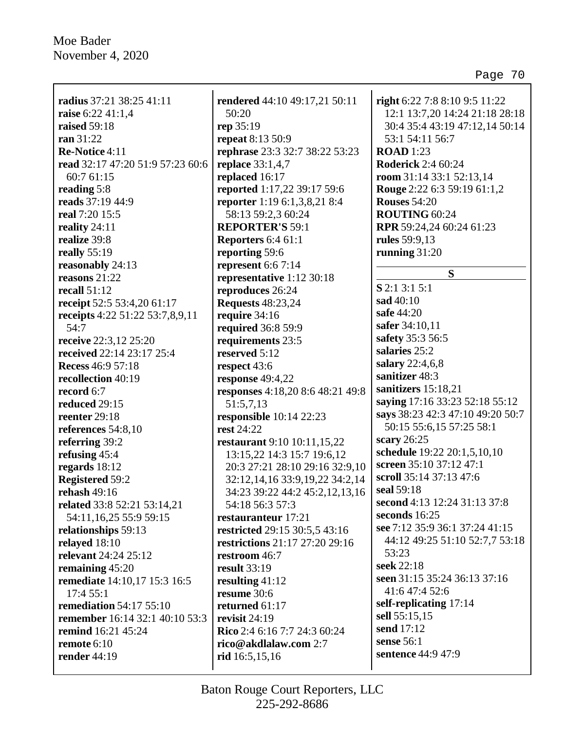| radius 37:21 38:25 41:11<br>raise 6:22 41:1,4<br>raised 59:18<br>ran 31:22<br>Re-Notice 4:11<br>read 32:17 47:20 51:9 57:23 60:6<br>60:7 61:15<br>reading 5:8<br>reads 37:19 44:9<br>real 7:20 15:5<br>reality $24:11$<br>realize 39:8<br>really $55:19$<br>reasonably 24:13<br>reasons $21:22$<br>recall $51:12$<br>receipt 52:5 53:4,20 61:17 | rendered 44:10 49:17,21 50:11<br>50:20<br>rep 35:19<br><b>repeat</b> 8:13 50:9<br>rephrase 23:3 32:7 38:22 53:23<br><b>replace</b> 33:1,4,7<br>replaced 16:17<br>reported 1:17,22 39:17 59:6<br><b>reporter</b> 1:19 6:1,3,8,21 8:4<br>58:13 59:2,3 60:24<br><b>REPORTER'S 59:1</b><br>Reporters 6:4 61:1<br>reporting 59:6<br>represent $6:67:14$<br>representative 1:12 30:18<br>reproduces 26:24<br><b>Requests</b> 48:23,24 | right 6:22 7:8 8:10 9:5 11:22<br>12:1 13:7,20 14:24 21:18 28:18<br>30:4 35:4 43:19 47:12,14 50:14<br>53:1 54:11 56:7<br><b>ROAD</b> 1:23<br><b>Roderick</b> 2:4 60:24<br>room 31:14 33:1 52:13,14<br>Rouge 2:22 6:3 59:19 61:1,2<br><b>Rouses 54:20</b><br>ROUTING 60:24<br>RPR 59:24,24 60:24 61:23<br>rules 59:9,13<br>running $31:20$<br>S<br>S 2:1 3:1 5:1<br>sad 40:10 |
|-------------------------------------------------------------------------------------------------------------------------------------------------------------------------------------------------------------------------------------------------------------------------------------------------------------------------------------------------|---------------------------------------------------------------------------------------------------------------------------------------------------------------------------------------------------------------------------------------------------------------------------------------------------------------------------------------------------------------------------------------------------------------------------------|-----------------------------------------------------------------------------------------------------------------------------------------------------------------------------------------------------------------------------------------------------------------------------------------------------------------------------------------------------------------------------|
| receipts 4:22 51:22 53:7,8,9,11                                                                                                                                                                                                                                                                                                                 | require 34:16                                                                                                                                                                                                                                                                                                                                                                                                                   | safe 44:20                                                                                                                                                                                                                                                                                                                                                                  |
| 54:7                                                                                                                                                                                                                                                                                                                                            | required 36:8 59:9                                                                                                                                                                                                                                                                                                                                                                                                              | safer 34:10,11                                                                                                                                                                                                                                                                                                                                                              |
| receive 22:3,12 25:20                                                                                                                                                                                                                                                                                                                           | requirements 23:5                                                                                                                                                                                                                                                                                                                                                                                                               | safety 35:3 56:5                                                                                                                                                                                                                                                                                                                                                            |
| received 22:14 23:17 25:4                                                                                                                                                                                                                                                                                                                       | reserved 5:12                                                                                                                                                                                                                                                                                                                                                                                                                   | salaries 25:2                                                                                                                                                                                                                                                                                                                                                               |
| <b>Recess 46:9 57:18</b>                                                                                                                                                                                                                                                                                                                        | respect 43:6                                                                                                                                                                                                                                                                                                                                                                                                                    | salary 22:4,6,8                                                                                                                                                                                                                                                                                                                                                             |
| recollection 40:19                                                                                                                                                                                                                                                                                                                              | response 49:4,22                                                                                                                                                                                                                                                                                                                                                                                                                | sanitizer 48:3                                                                                                                                                                                                                                                                                                                                                              |
| record 6:7                                                                                                                                                                                                                                                                                                                                      | responses 4:18,20 8:6 48:21 49:8                                                                                                                                                                                                                                                                                                                                                                                                | sanitizers 15:18,21                                                                                                                                                                                                                                                                                                                                                         |
| reduced 29:15                                                                                                                                                                                                                                                                                                                                   | 51:5,7,13                                                                                                                                                                                                                                                                                                                                                                                                                       | saying 17:16 33:23 52:18 55:12                                                                                                                                                                                                                                                                                                                                              |
| reenter 29:18                                                                                                                                                                                                                                                                                                                                   | responsible 10:14 22:23                                                                                                                                                                                                                                                                                                                                                                                                         | says 38:23 42:3 47:10 49:20 50:7                                                                                                                                                                                                                                                                                                                                            |
| references 54:8,10                                                                                                                                                                                                                                                                                                                              | <b>rest 24:22</b>                                                                                                                                                                                                                                                                                                                                                                                                               | 50:15 55:6,15 57:25 58:1                                                                                                                                                                                                                                                                                                                                                    |
| referring 39:2                                                                                                                                                                                                                                                                                                                                  | <b>restaurant</b> 9:10 10:11,15,22                                                                                                                                                                                                                                                                                                                                                                                              | scary 26:25                                                                                                                                                                                                                                                                                                                                                                 |
| refusing 45:4                                                                                                                                                                                                                                                                                                                                   | 13:15,22 14:3 15:7 19:6,12                                                                                                                                                                                                                                                                                                                                                                                                      | schedule 19:22 20:1,5,10,10                                                                                                                                                                                                                                                                                                                                                 |
| regards 18:12                                                                                                                                                                                                                                                                                                                                   | 20:3 27:21 28:10 29:16 32:9,10                                                                                                                                                                                                                                                                                                                                                                                                  | screen 35:10 37:12 47:1                                                                                                                                                                                                                                                                                                                                                     |
| <b>Registered 59:2</b>                                                                                                                                                                                                                                                                                                                          | 32:12, 14, 16 33:9, 19, 22 34:2, 14                                                                                                                                                                                                                                                                                                                                                                                             | scroll 35:14 37:13 47:6                                                                                                                                                                                                                                                                                                                                                     |
| rehash $49:16$                                                                                                                                                                                                                                                                                                                                  | 34:23 39:22 44:2 45:2,12,13,16                                                                                                                                                                                                                                                                                                                                                                                                  | seal 59:18                                                                                                                                                                                                                                                                                                                                                                  |
| related 33:8 52:21 53:14,21                                                                                                                                                                                                                                                                                                                     | 54:18 56:3 57:3                                                                                                                                                                                                                                                                                                                                                                                                                 | second 4:13 12:24 31:13 37:8                                                                                                                                                                                                                                                                                                                                                |
| 54:11,16,25 55:9 59:15                                                                                                                                                                                                                                                                                                                          | restauranteur 17:21                                                                                                                                                                                                                                                                                                                                                                                                             | seconds $16:25$                                                                                                                                                                                                                                                                                                                                                             |
| relationships 59:13                                                                                                                                                                                                                                                                                                                             | restricted 29:15 30:5,5 43:16                                                                                                                                                                                                                                                                                                                                                                                                   | see 7:12 35:9 36:1 37:24 41:15                                                                                                                                                                                                                                                                                                                                              |
| relayed 18:10                                                                                                                                                                                                                                                                                                                                   | restrictions 21:17 27:20 29:16                                                                                                                                                                                                                                                                                                                                                                                                  | 44:12 49:25 51:10 52:7,7 53:18                                                                                                                                                                                                                                                                                                                                              |
| relevant 24:24 25:12                                                                                                                                                                                                                                                                                                                            | restroom 46:7                                                                                                                                                                                                                                                                                                                                                                                                                   | 53:23                                                                                                                                                                                                                                                                                                                                                                       |
| remaining 45:20                                                                                                                                                                                                                                                                                                                                 | <b>result</b> 33:19                                                                                                                                                                                                                                                                                                                                                                                                             | seek 22:18                                                                                                                                                                                                                                                                                                                                                                  |
| remediate 14:10,17 15:3 16:5                                                                                                                                                                                                                                                                                                                    | resulting $41:12$                                                                                                                                                                                                                                                                                                                                                                                                               | seen 31:15 35:24 36:13 37:16                                                                                                                                                                                                                                                                                                                                                |
| 17:4 55:1                                                                                                                                                                                                                                                                                                                                       | resume 30:6                                                                                                                                                                                                                                                                                                                                                                                                                     | 41:6 47:4 52:6                                                                                                                                                                                                                                                                                                                                                              |
| <b>remediation 54:17 55:10</b>                                                                                                                                                                                                                                                                                                                  | returned 61:17                                                                                                                                                                                                                                                                                                                                                                                                                  | self-replicating 17:14                                                                                                                                                                                                                                                                                                                                                      |
| <b>remember</b> 16:14 32:1 40:10 53:3                                                                                                                                                                                                                                                                                                           | revisit $24:19$                                                                                                                                                                                                                                                                                                                                                                                                                 | sell 55:15,15                                                                                                                                                                                                                                                                                                                                                               |
| remind 16:21 45:24                                                                                                                                                                                                                                                                                                                              | Rico 2:4 6:16 7:7 24:3 60:24                                                                                                                                                                                                                                                                                                                                                                                                    | send 17:12                                                                                                                                                                                                                                                                                                                                                                  |
| remote $6:10$                                                                                                                                                                                                                                                                                                                                   | rico@akdlalaw.com 2:7                                                                                                                                                                                                                                                                                                                                                                                                           | sense 56:1                                                                                                                                                                                                                                                                                                                                                                  |
| render 44:19                                                                                                                                                                                                                                                                                                                                    | rid $16:5,15,16$                                                                                                                                                                                                                                                                                                                                                                                                                | sentence 44:9 47:9                                                                                                                                                                                                                                                                                                                                                          |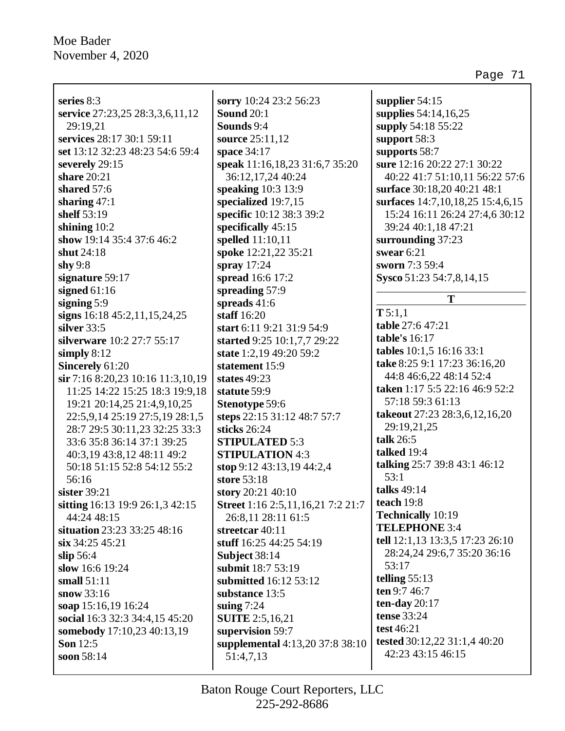| series 8:3                        | sorry $10:2$           |
|-----------------------------------|------------------------|
| service 27:23,25 28:3,3,6,11,12   | Sound 20:              |
| 29:19,21                          | Sounds 9:4             |
| services 28:17 30:1 59:11         | source 25:             |
| set 13:12 32:23 48:23 54:6 59:4   | space 34:1             |
| severely 29:15                    | speak $11:1$           |
| share $20:21$                     | 36:12,17               |
| shared 57:6                       | speaking 1             |
| sharing $47:1$                    | specialized            |
| shelf 53:19                       | specific 10            |
| shining $10:2$                    | specificall            |
| show 19:14 35:4 37:6 46:2         | spelled 11             |
| shut 24:18                        | spoke $12:2$           |
| shy $9:8$                         | spray $17:2$           |
| signature $59:17$                 | spread 16:             |
| signed $61:16$                    | spreading              |
| signing $5:9$                     | spreads 41             |
| signs 16:18 45:2,11,15,24,25      | staff $16:20$          |
| silver $33:5$                     | start $6:11$           |
| silverware 10:2 27:7 55:17        | started 9:2            |
| simply $8:12$                     | state $1:2,1$          |
| <b>Sincerely 61:20</b>            | statement              |
| sir 7:16 8:20,23 10:16 11:3,10,19 | states 49:2            |
| 11:25 14:22 15:25 18:3 19:9,18    | statute 59:            |
| 19:21 20:14,25 21:4,9,10,25       | <b>Stenotype</b>       |
| 22:5,9,14 25:19 27:5,19 28:1,5    | steps 22:1:            |
| 28:7 29:5 30:11,23 32:25 33:3     | sticks 26:2            |
| 33:6 35:8 36:14 37:1 39:25        | <b>STIPULA</b>         |
| 40:3,19 43:8,12 48:11 49:2        | <b>STIPULA</b>         |
| 50:18 51:15 52:8 54:12 55:2       | stop $9:12$            |
| 56:16                             | <b>store</b> 53:18     |
| sister $39:21$                    | story $20:2$           |
| sitting 16:13 19:9 26:1,3 42:15   | Street 1:16            |
| 44:24 48:15                       | 26:8,11.2              |
| situation 23:23 33:25 48:16       | streetcar <sup>2</sup> |
| $\sin 34:2545:21$                 | stuff $16:25$          |
| slip 56:4                         | Subject 38             |
| slow 16:6 19:24                   | submit 18              |
| small $51:11$                     | submitted              |
| snow $33:16$                      | substance              |
| soap 15:16,19 16:24               | suing $7:24$           |
| social 16:3 32:3 34:4,15 45:20    | <b>SUITE 2:5</b>       |
| somebody 17:10,23 40:13,19        | supervisio             |
| <b>Son</b> 12:5                   | supplemer              |
| soon 58:14                        | 51:4,7,13              |

**sorry** 10:24 23:2 56:23 **Sound** 20:1 **Sounds** 9:4 **source** 21.12 **space** 34:17 **speak** 11:16,18,23 31:6,7 35:20  $24.40:24$ **speaking** 10:3 13:9 **d** 19:7,15 **specific** 10:12 38:3 39:2 **s** 45:15  $:10,11$ **spoke** 12:21,22 35:21 **spray** 17:24 **spread** 16:6 17:2 **spreading** 57:9 **spreads** 41:6 **staff** 16:20 **start** 6:11 9:21 31:9 54:9 **started** 9:25 10:1,7,7 29:22 **9** 49:20 59:2 15:9 **states** 49:23 **statute** 59:9 59:6 **steps** 22:15 31:12 48:7 57:7 **sticks** 26:24 **STED** 5:3 **STION** 4:3 **stop** 9:12 43:13,19 44:2,4 **store** 53:18 **for** 40:10 **Street** 1:16 2:5,11,16,21 7:2 21:7 28:11 61:5 **streetcar** 40:11 **stuff** 16:25 44:25 54:19 **S**:14 **submit** 18:7 53:19 **16:12 53:12** 13:5 **suing** 7:24 5.16.21 **supersity** 59:7 **supplemental** 4:13,20 37:8 38:10 51:4,7,13  $\mathbf I$ 

**supplier** 54:15 **supplies** 54:14,16,25 **supply** 54:18 55:22 **support** 58:3 **supports** 58:7 **sure** 12:16 20:22 27:1 30:22 40:22 41:7 51:10,11 56:22 57:6 **surface** 30:18,20 40:21 48:1 **surfaces** 14:7,10,18,25 15:4,6,15 15:24 16:11 26:24 27:4,6 30:12 39:24 40:1,18 47:21 **surrounding** 37:23 **swear** 6:21 **sworn** 7:3 59:4 **Sysco** 51:23 54:7,8,14,15 **T T** 5:1,1 **table** 27:6 47:21 **table's** 16:17 **tables** 10:1,5 16:16 33:1 **take** 8:25 9:1 17:23 36:16,20 44:8 46:6,22 48:14 52:4 **taken** 1:17 5:5 22:16 46:9 52:2 57:18 59:3 61:13 **takeout** 27:23 28:3,6,12,16,20 29:19,21,25 **talk** 26:5 **talked** 19:4 **talking** 25:7 39:8 43:1 46:12 53:1 **talks** 49:14 **teach** 19:8 **Technically** 10:19 **TELEPHONE** 3:4 **tell** 12:1,13 13:3,5 17:23 26:10 28:24,24 29:6,7 35:20 36:16 53:17 **telling** 55:13 **ten** 9:7 46:7 **ten-day** 20:17 **tense** 33:24 **test** 46:21 **tested** 30:12,22 31:1,4 40:20 42:23 43:15 46:15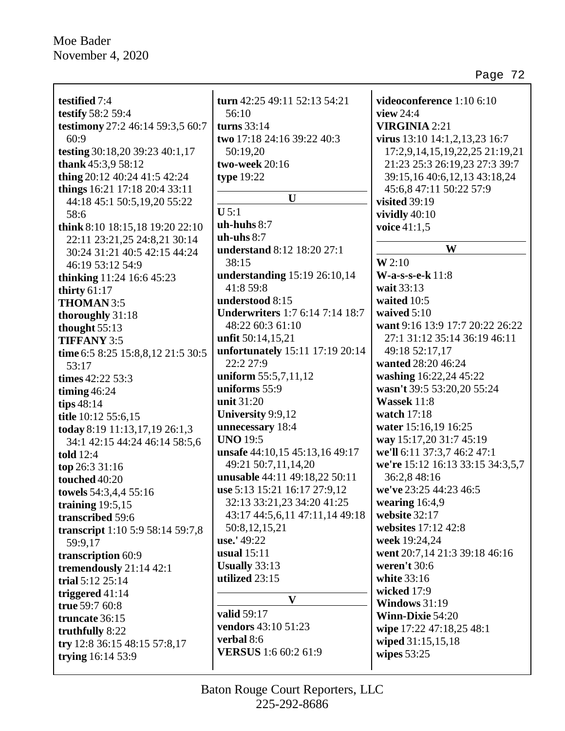testified 7:4 **testify** 58:2 59:4 testimony 27:2 46:14 59:3,5 60:7  $60:9$ testing 30:18,20 39:23 40:1,17 thank  $45:3,958:12$ thing 20:12 40:24 41:5 42:24 things  $16:21$  17:18 20:4 33:11 44:18 45:1 50:5,19,20 55:22 58:6 think 8:10 18:15,18 19:20 22:10 22:11 23:21,25 24:8,21 30:14 30:24 31:21 40:5 42:15 44:24 46:19 53:12 54:9 **thinking** 11:24 16:6 45:23 thirty  $61:17$ THOMAN 3:5 thoroughly 31:18 thought 55:13 **TIFFANY 3:5** time 6:5 8:25 15:8,8,12 21:5 30:5  $53:17$ times  $42:22\,53:3$ timing  $46:24$ tips  $48:14$ title 10:12 55:6,15 today 8:19 11:13,17,19 26:1,3 34:1 42:15 44:24 46:14 58:5,6 told  $12:4$ top 26:3 31:16 touched 40:20 towels 54:3,4,4 55:16 training  $19:5,15$ transcribed 59:6 transcript 1:10 5:9 58:14 59:7,8 59:9,17 transcription 60:9 tremendously  $21:14$  42:1 trial  $5:12$   $25:14$ triggered  $41:14$ true 59:7 60:8 truncate 36:15 truthfully 8:22 try 12:8 36:15 48:15 57:8,17 trying 16:14 53:9

turn  $42:25$   $49:11$   $52:13$   $54:21$  $56:10$ turns  $33:14$ two 17:18 24:16 39:22 40:3 50:19.20 two-week 20:16 type  $19:22$  $\mathbf{U}$  $U$  5:1  $uh-huhs  $8:7$$ uh-uhs $8:7$ **understand** 8:12 18:20 27:1  $38:15$ understanding 15:19 26:10,14  $41:859:8$ understood  $8:15$ **Underwriters** 1:7 6:14 7:14 18:7 48:22 60:3 61:10 unfit  $50:14.15.21$ unfortunately 15:11 17:19 20:14 22:2 27:9 uniform 55:5,7,11,12 uniforms 55:9 unit 31:20 **University 9:9,12** unnecessary 18:4 **UNO 19:5** unsafe 44:10,15 45:13,16 49:17 49:21 50:7,11,14,20 unusable 44:11 49:18,22 50:11 use 5:13 15:21 16:17 27:9.12 32:13 33:21,23 34:20 41:25 43:17 44:5,6,11 47:11,14 49:18 50:8, 12, 15, 21 use.' 49:22 usual  $15:11$ Usually  $33:13$ utilized 23:15  $\mathbf{V}$ valid 59:17 **vendors** 43:10 51:23 verbal 8:6 **VERSUS** 1:6 60:2 61:9

videoconference  $1:106:10$ view  $24.4$ **VIRGINIA 2:21** virus 13:10 14:1.2.13.23 16:7 17:2,9,14,15,19,22,25 21:19,21 21:23 25:3 26:19,23 27:3 39:7 39:15,16 40:6,12,13 43:18,24 45:6,8 47:11 50:22 57:9 visited  $39:19$ vividly  $40:10$ voice  $41:1.5$ W  $W2:10$  $W-a-s-s-e-k$  11:8 wait 33:13 waited  $10:5$ waived  $5:10$ want 9:16 13:9 17:7 20:22 26:22 27:1 31:12 35:14 36:19 46:11 49:18 52:17,17 wanted 28:20 46:24 washing 16:22,24 45:22 wasn't 39:5 53:20,20 55:24 Wassek 11:8 watch  $17:18$ water 15:16,19 16:25 way 15:17,20 31:7 45:19 we'll 6:11 37:3,7 46:2 47:1 we're 15:12 16:13 33:15 34:3.5.7 36:2,8 48:16 we've 23:25 44:23 46:5 wearing  $16:4,9$ website  $32:17$ websites 17:12 42:8 week 19:24.24 went 20:7,14 21:3 39:18 46:16 weren't  $30:6$ white 33:16 wicked 17:9 Windows  $31:19$ Winn-Dixie  $54:20$ wipe 17:22 47:18,25 48:1 wiped 31:15,15,18 wipes  $53:25$